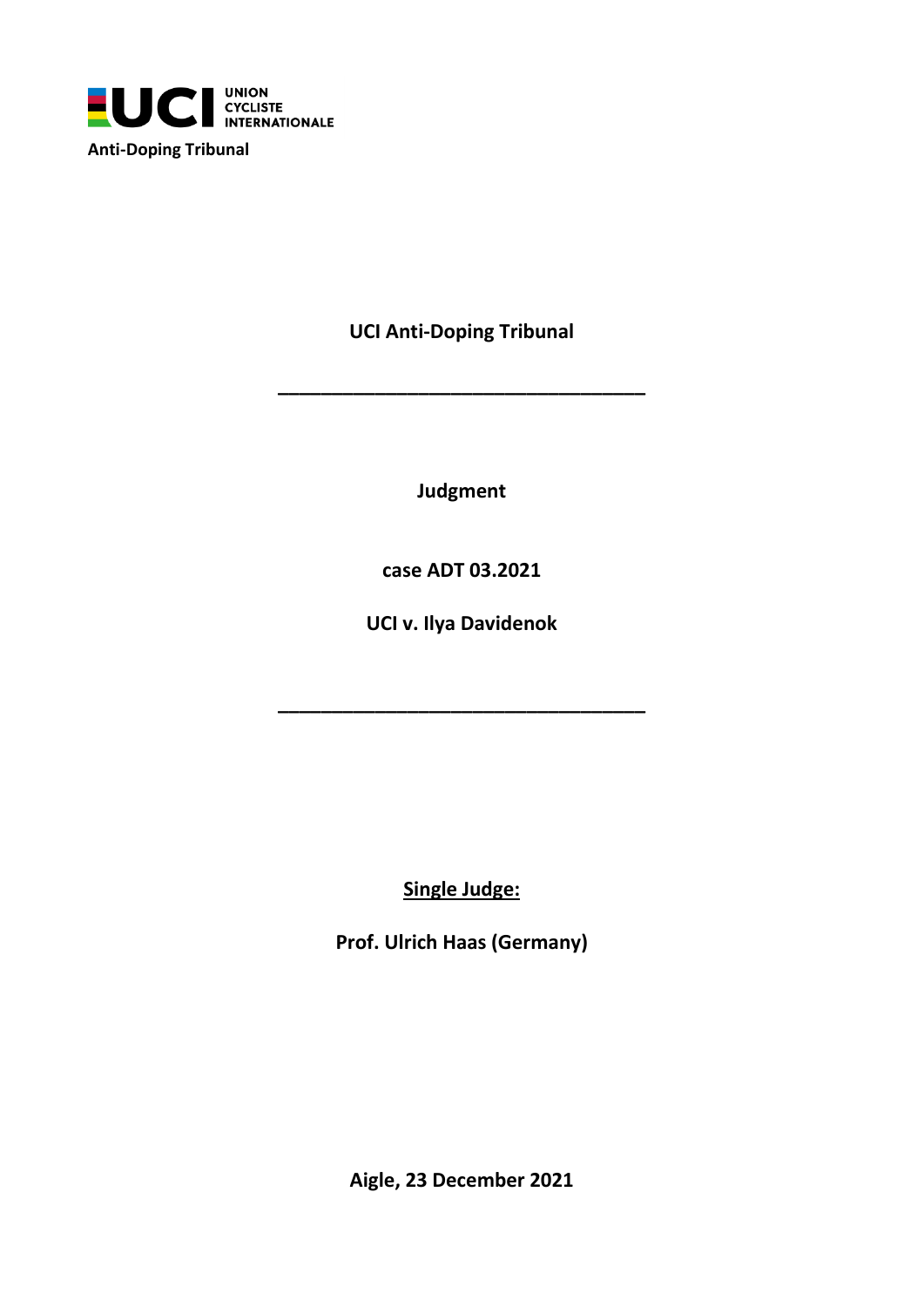

**UCI Anti-Doping Tribunal**

**\_\_\_\_\_\_\_\_\_\_\_\_\_\_\_\_\_\_\_\_\_\_\_\_\_\_\_\_\_\_\_\_\_\_**

**Judgment**

**case ADT 03.2021**

**UCI v. Ilya Davidenok**

**\_\_\_\_\_\_\_\_\_\_\_\_\_\_\_\_\_\_\_\_\_\_\_\_\_\_\_\_\_\_\_\_\_\_**

**Single Judge:**

**Prof. Ulrich Haas (Germany)**

**Aigle, 23 December 2021**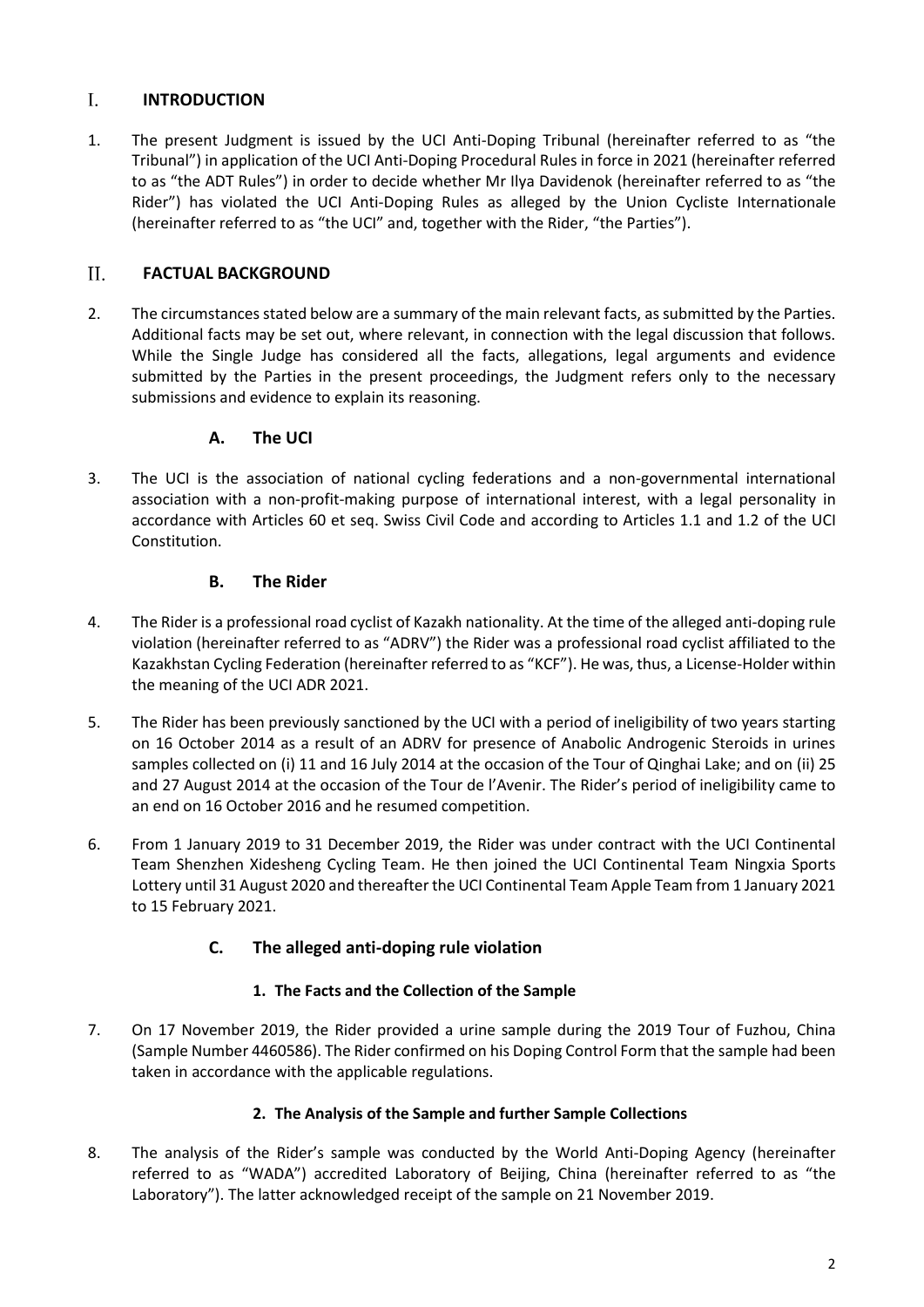#### $\mathbf{L}$ **INTRODUCTION**

1. The present Judgment is issued by the UCI Anti-Doping Tribunal (hereinafter referred to as "the Tribunal") in application of the UCI Anti-Doping Procedural Rules in force in 2021 (hereinafter referred to as "the ADT Rules") in order to decide whether Mr Ilya Davidenok (hereinafter referred to as "the Rider") has violated the UCI Anti-Doping Rules as alleged by the Union Cycliste Internationale (hereinafter referred to as "the UCI" and, together with the Rider, "the Parties").

#### $II.$ **FACTUAL BACKGROUND**

2. The circumstances stated below are a summary of the main relevant facts, as submitted by the Parties. Additional facts may be set out, where relevant, in connection with the legal discussion that follows. While the Single Judge has considered all the facts, allegations, legal arguments and evidence submitted by the Parties in the present proceedings, the Judgment refers only to the necessary submissions and evidence to explain its reasoning.

# **A. The UCI**

3. The UCI is the association of national cycling federations and a non-governmental international association with a non-profit-making purpose of international interest, with a legal personality in accordance with Articles 60 et seq. Swiss Civil Code and according to Articles 1.1 and 1.2 of the UCI Constitution.

# **B. The Rider**

- 4. The Rider is a professional road cyclist of Kazakh nationality. At the time of the alleged anti-doping rule violation (hereinafter referred to as "ADRV") the Rider was a professional road cyclist affiliated to the Kazakhstan Cycling Federation (hereinafter referred to as "KCF"). He was, thus, a License-Holder within the meaning of the UCI ADR 2021.
- 5. The Rider has been previously sanctioned by the UCI with a period of ineligibility of two years starting on 16 October 2014 as a result of an ADRV for presence of Anabolic Androgenic Steroids in urines samples collected on (i) 11 and 16 July 2014 at the occasion of the Tour of Qinghai Lake; and on (ii) 25 and 27 August 2014 at the occasion of the Tour de l'Avenir. The Rider's period of ineligibility came to an end on 16 October 2016 and he resumed competition.
- 6. From 1 January 2019 to 31 December 2019, the Rider was under contract with the UCI Continental Team Shenzhen Xidesheng Cycling Team. He then joined the UCI Continental Team Ningxia Sports Lottery until 31 August 2020 and thereafter the UCI Continental Team Apple Team from 1 January 2021 to 15 February 2021.

# **C. The alleged anti-doping rule violation**

# **1. The Facts and the Collection of the Sample**

7. On 17 November 2019, the Rider provided a urine sample during the 2019 Tour of Fuzhou, China (Sample Number 4460586). The Rider confirmed on his Doping Control Form that the sample had been taken in accordance with the applicable regulations.

## **2. The Analysis of the Sample and further Sample Collections**

8. The analysis of the Rider's sample was conducted by the World Anti-Doping Agency (hereinafter referred to as "WADA") accredited Laboratory of Beijing, China (hereinafter referred to as "the Laboratory"). The latter acknowledged receipt of the sample on 21 November 2019.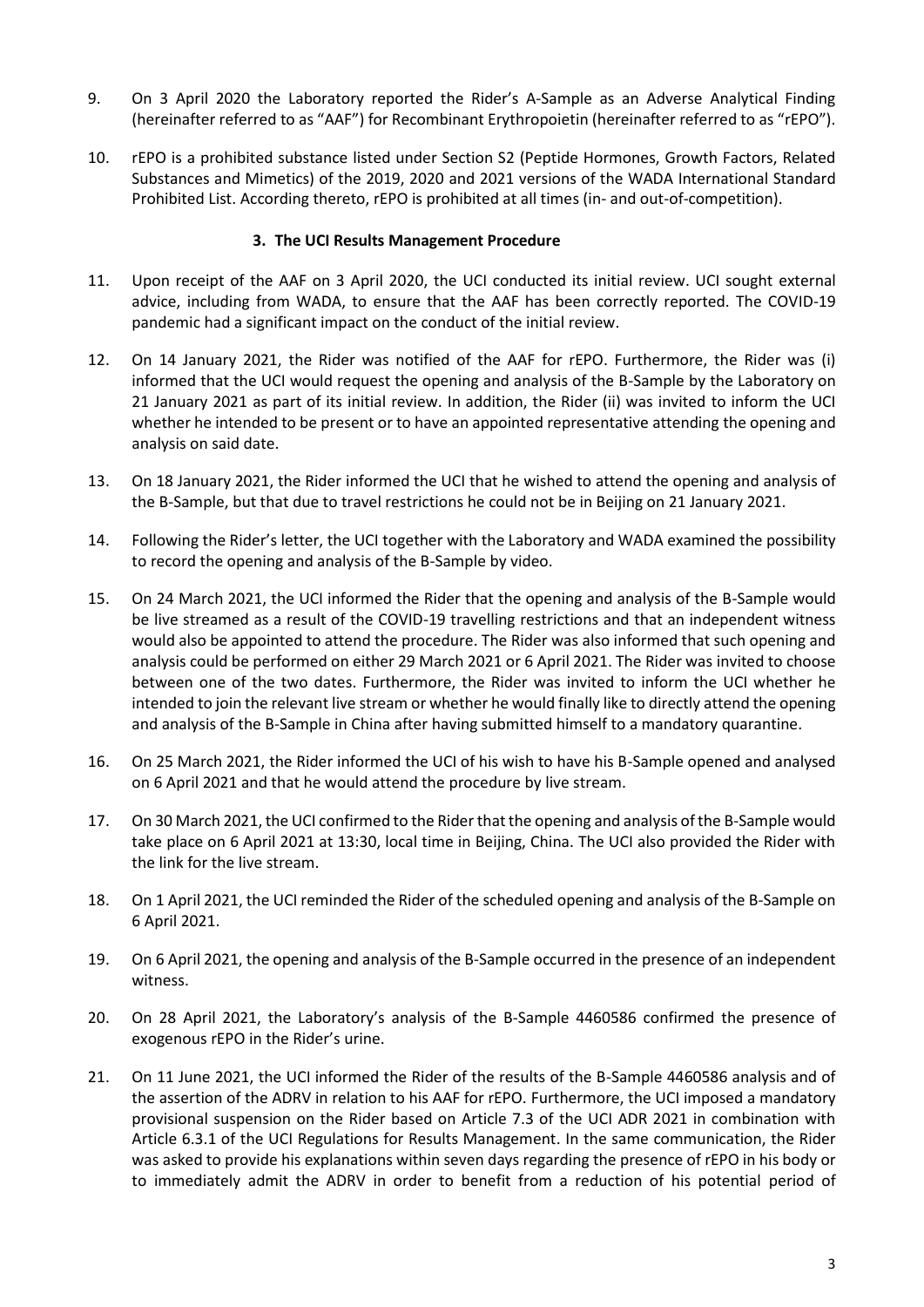- 9. On 3 April 2020 the Laboratory reported the Rider's A-Sample as an Adverse Analytical Finding (hereinafter referred to as "AAF") for Recombinant Erythropoietin (hereinafter referred to as "rEPO").
- 10. rEPO is a prohibited substance listed under Section S2 (Peptide Hormones, Growth Factors, Related Substances and Mimetics) of the 2019, 2020 and 2021 versions of the WADA International Standard Prohibited List. According thereto, rEPO is prohibited at all times (in- and out-of-competition).

#### **3. The UCI Results Management Procedure**

- 11. Upon receipt of the AAF on 3 April 2020, the UCI conducted its initial review. UCI sought external advice, including from WADA, to ensure that the AAF has been correctly reported. The COVID-19 pandemic had a significant impact on the conduct of the initial review.
- 12. On 14 January 2021, the Rider was notified of the AAF for rEPO. Furthermore, the Rider was (i) informed that the UCI would request the opening and analysis of the B-Sample by the Laboratory on 21 January 2021 as part of its initial review. In addition, the Rider (ii) was invited to inform the UCI whether he intended to be present or to have an appointed representative attending the opening and analysis on said date.
- 13. On 18 January 2021, the Rider informed the UCI that he wished to attend the opening and analysis of the B-Sample, but that due to travel restrictions he could not be in Beijing on 21 January 2021.
- 14. Following the Rider's letter, the UCI together with the Laboratory and WADA examined the possibility to record the opening and analysis of the B-Sample by video.
- 15. On 24 March 2021, the UCI informed the Rider that the opening and analysis of the B-Sample would be live streamed as a result of the COVID-19 travelling restrictions and that an independent witness would also be appointed to attend the procedure. The Rider was also informed that such opening and analysis could be performed on either 29 March 2021 or 6 April 2021. The Rider was invited to choose between one of the two dates. Furthermore, the Rider was invited to inform the UCI whether he intended to join the relevant live stream or whether he would finally like to directly attend the opening and analysis of the B-Sample in China after having submitted himself to a mandatory quarantine.
- 16. On 25 March 2021, the Rider informed the UCI of his wish to have his B-Sample opened and analysed on 6 April 2021 and that he would attend the procedure by live stream.
- 17. On 30 March 2021, the UCI confirmed to the Rider that the opening and analysis of the B-Sample would take place on 6 April 2021 at 13:30, local time in Beijing, China. The UCI also provided the Rider with the link for the live stream.
- 18. On 1 April 2021, the UCI reminded the Rider of the scheduled opening and analysis of the B-Sample on 6 April 2021.
- 19. On 6 April 2021, the opening and analysis of the B-Sample occurred in the presence of an independent witness.
- 20. On 28 April 2021, the Laboratory's analysis of the B-Sample 4460586 confirmed the presence of exogenous rEPO in the Rider's urine.
- 21. On 11 June 2021, the UCI informed the Rider of the results of the B-Sample 4460586 analysis and of the assertion of the ADRV in relation to his AAF for rEPO. Furthermore, the UCI imposed a mandatory provisional suspension on the Rider based on Article 7.3 of the UCI ADR 2021 in combination with Article 6.3.1 of the UCI Regulations for Results Management. In the same communication, the Rider was asked to provide his explanations within seven days regarding the presence of rEPO in his body or to immediately admit the ADRV in order to benefit from a reduction of his potential period of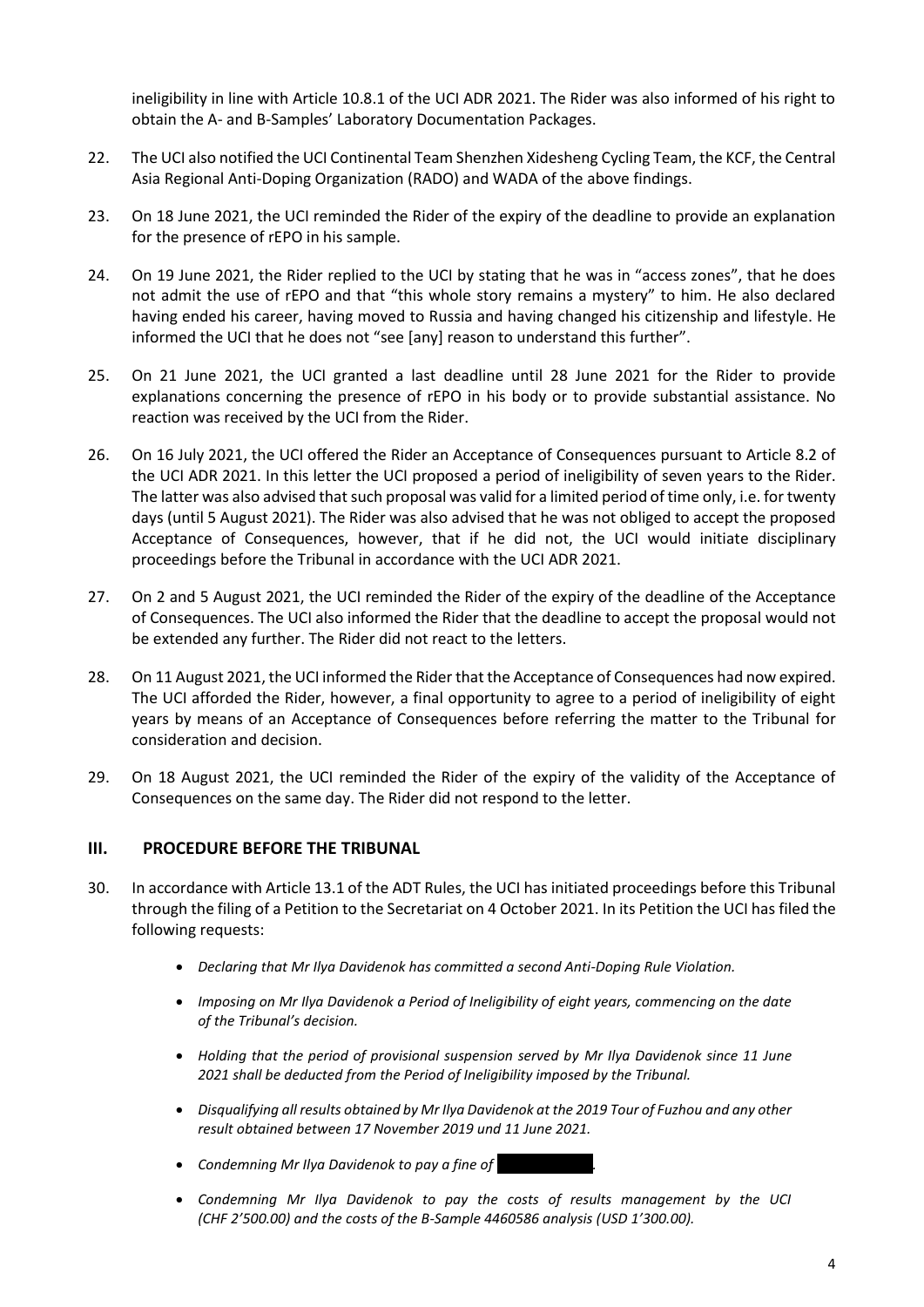ineligibility in line with Article 10.8.1 of the UCI ADR 2021. The Rider was also informed of his right to obtain the A- and B-Samples' Laboratory Documentation Packages.

- 22. The UCI also notified the UCI Continental Team Shenzhen Xidesheng Cycling Team, the KCF, the Central Asia Regional Anti-Doping Organization (RADO) and WADA of the above findings.
- 23. On 18 June 2021, the UCI reminded the Rider of the expiry of the deadline to provide an explanation for the presence of rEPO in his sample.
- 24. On 19 June 2021, the Rider replied to the UCI by stating that he was in "access zones", that he does not admit the use of rEPO and that "this whole story remains a mystery" to him. He also declared having ended his career, having moved to Russia and having changed his citizenship and lifestyle. He informed the UCI that he does not "see [any] reason to understand this further".
- 25. On 21 June 2021, the UCI granted a last deadline until 28 June 2021 for the Rider to provide explanations concerning the presence of rEPO in his body or to provide substantial assistance. No reaction was received by the UCI from the Rider.
- 26. On 16 July 2021, the UCI offered the Rider an Acceptance of Consequences pursuant to Article 8.2 of the UCI ADR 2021. In this letter the UCI proposed a period of ineligibility of seven years to the Rider. The latter was also advised that such proposal was valid for a limited period of time only, i.e. for twenty days (until 5 August 2021). The Rider was also advised that he was not obliged to accept the proposed Acceptance of Consequences, however, that if he did not, the UCI would initiate disciplinary proceedings before the Tribunal in accordance with the UCI ADR 2021.
- 27. On 2 and 5 August 2021, the UCI reminded the Rider of the expiry of the deadline of the Acceptance of Consequences. The UCI also informed the Rider that the deadline to accept the proposal would not be extended any further. The Rider did not react to the letters.
- 28. On 11 August 2021, the UCI informed the Rider that the Acceptance of Consequences had now expired. The UCI afforded the Rider, however, a final opportunity to agree to a period of ineligibility of eight years by means of an Acceptance of Consequences before referring the matter to the Tribunal for consideration and decision.
- 29. On 18 August 2021, the UCI reminded the Rider of the expiry of the validity of the Acceptance of Consequences on the same day. The Rider did not respond to the letter.

## **III. PROCEDURE BEFORE THE TRIBUNAL**

- 30. In accordance with Article 13.1 of the ADT Rules, the UCI has initiated proceedings before this Tribunal through the filing of a Petition to the Secretariat on 4 October 2021. In its Petition the UCI has filed the following requests:
	- *Declaring that Mr Ilya Davidenok has committed a second Anti-Doping Rule Violation.*
	- *Imposing on Mr Ilya Davidenok a Period of Ineligibility of eight years, commencing on the date of the Tribunal's decision.*
	- *Holding that the period of provisional suspension served by Mr Ilya Davidenok since 11 June 2021 shall be deducted from the Period of Ineligibility imposed by the Tribunal.*
	- *Disqualifying all results obtained by Mr Ilya Davidenok at the 2019 Tour of Fuzhou and any other result obtained between 17 November 2019 und 11 June 2021.*
	- *Condemning Mr Ilya Davidenok to pay a fine of ……………………….*
	- *Condemning Mr Ilya Davidenok to pay the costs of results management by the UCI (CHF 2'500.00) and the costs of the B-Sample 4460586 analysis (USD 1'300.00).*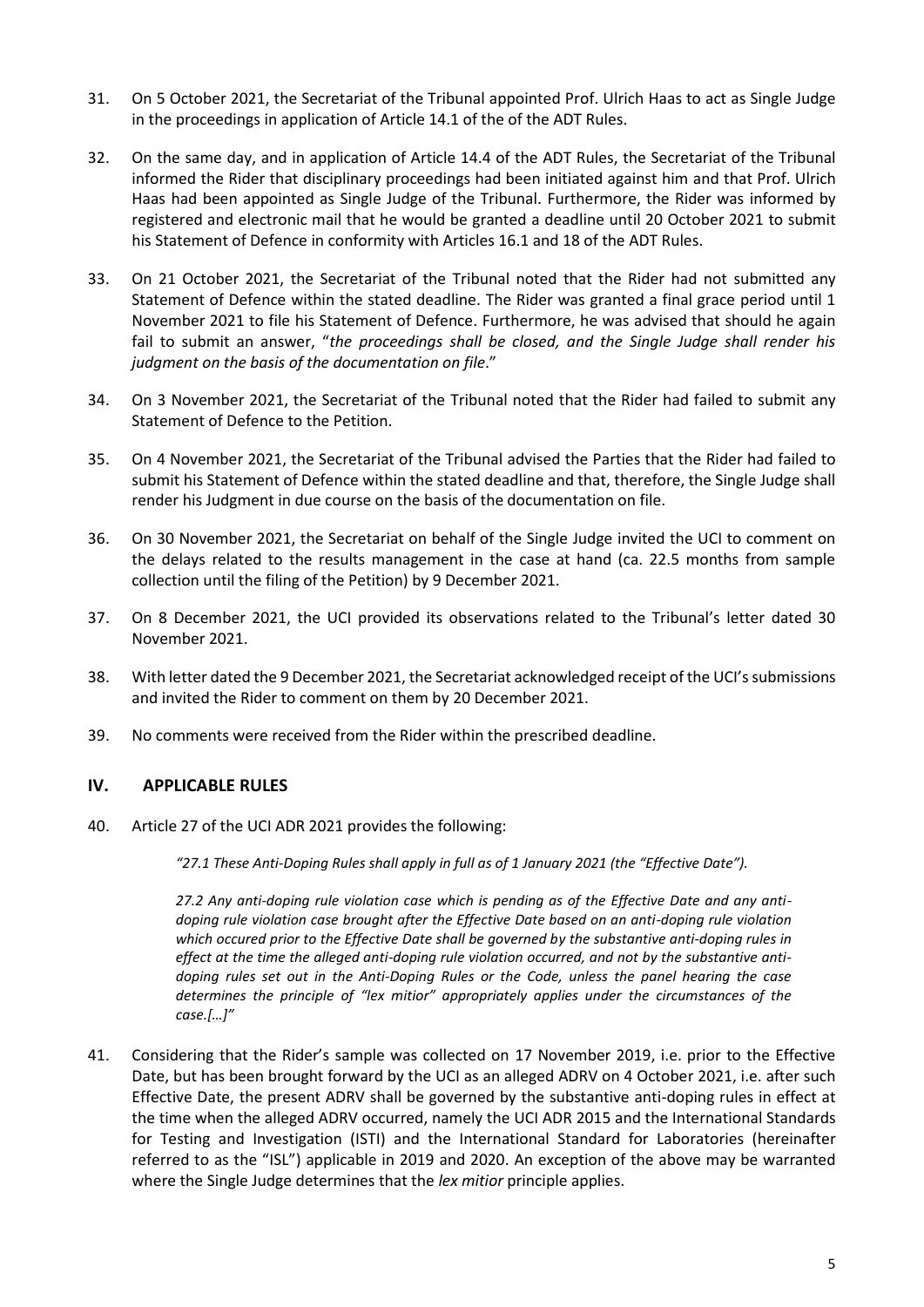- 31. On 5 October 2021, the Secretariat of the Tribunal appointed Prof. Ulrich Haas to act as Single Judge in the proceedings in application of Article 14.1 of the of the ADT Rules.
- 32. On the same day, and in application of Article 14.4 of the ADT Rules, the Secretariat of the Tribunal informed the Rider that disciplinary proceedings had been initiated against him and that Prof. Ulrich Haas had been appointed as Single Judge of the Tribunal. Furthermore, the Rider was informed by registered and electronic mail that he would be granted a deadline until 20 October 2021 to submit his Statement of Defence in conformity with Articles 16.1 and 18 of the ADT Rules.
- 33. On 21 October 2021, the Secretariat of the Tribunal noted that the Rider had not submitted any Statement of Defence within the stated deadline. The Rider was granted a final grace period until 1 November 2021 to file his Statement of Defence. Furthermore, he was advised that should he again fail to submit an answer, "*the proceedings shall be closed, and the Single Judge shall render his judgment on the basis of the documentation on file*."
- 34. On 3 November 2021, the Secretariat of the Tribunal noted that the Rider had failed to submit any Statement of Defence to the Petition.
- 35. On 4 November 2021, the Secretariat of the Tribunal advised the Parties that the Rider had failed to submit his Statement of Defence within the stated deadline and that, therefore, the Single Judge shall render his Judgment in due course on the basis of the documentation on file.
- 36. On 30 November 2021, the Secretariat on behalf of the Single Judge invited the UCI to comment on the delays related to the results management in the case at hand (ca. 22.5 months from sample collection until the filing of the Petition) by 9 December 2021.
- 37. On 8 December 2021, the UCI provided its observations related to the Tribunal's letter dated 30 November 2021.
- 38. With letter dated the 9 December 2021, the Secretariat acknowledged receipt of the UCI's submissions and invited the Rider to comment on them by 20 December 2021.
- 39. No comments were received from the Rider within the prescribed deadline.

## **IV. APPLICABLE RULES**

40. Article 27 of the UCI ADR 2021 provides the following:

*"27.1 These Anti-Doping Rules shall apply in full as of 1 January 2021 (the "Effective Date").*

*27.2 Any anti-doping rule violation case which is pending as of the Effective Date and any antidoping rule violation case brought after the Effective Date based on an anti-doping rule violation which occured prior to the Effective Date shall be governed by the substantive anti-doping rules in effect at the time the alleged anti-doping rule violation occurred, and not by the substantive antidoping rules set out in the Anti-Doping Rules or the Code, unless the panel hearing the case determines the principle of "lex mitior" appropriately applies under the circumstances of the case.[…]"*

41. Considering that the Rider's sample was collected on 17 November 2019, i.e. prior to the Effective Date, but has been brought forward by the UCI as an alleged ADRV on 4 October 2021, i.e. after such Effective Date, the present ADRV shall be governed by the substantive anti-doping rules in effect at the time when the alleged ADRV occurred, namely the UCI ADR 2015 and the International Standards for Testing and Investigation (ISTI) and the International Standard for Laboratories (hereinafter referred to as the "ISL") applicable in 2019 and 2020. An exception of the above may be warranted where the Single Judge determines that the *lex mitior* principle applies.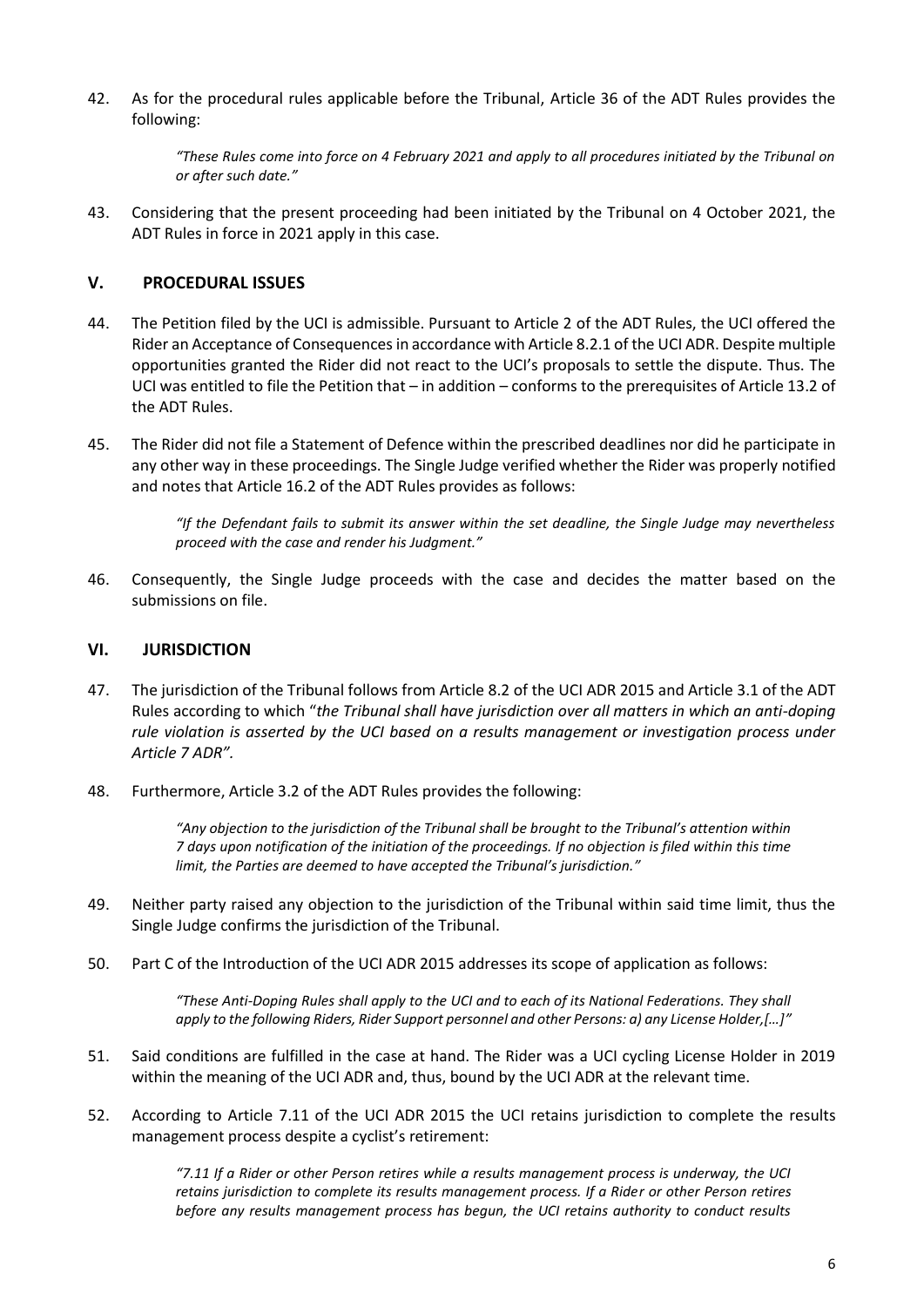42. As for the procedural rules applicable before the Tribunal, Article 36 of the ADT Rules provides the following:

> *"These Rules come into force on 4 February 2021 and apply to all procedures initiated by the Tribunal on or after such date."*

43. Considering that the present proceeding had been initiated by the Tribunal on 4 October 2021, the ADT Rules in force in 2021 apply in this case.

#### **V. PROCEDURAL ISSUES**

- 44. The Petition filed by the UCI is admissible. Pursuant to Article 2 of the ADT Rules, the UCI offered the Rider an Acceptance of Consequences in accordance with Article 8.2.1 of the UCI ADR. Despite multiple opportunities granted the Rider did not react to the UCI's proposals to settle the dispute. Thus. The UCI was entitled to file the Petition that – in addition – conforms to the prerequisites of Article 13.2 of the ADT Rules.
- 45. The Rider did not file a Statement of Defence within the prescribed deadlines nor did he participate in any other way in these proceedings. The Single Judge verified whether the Rider was properly notified and notes that Article 16.2 of the ADT Rules provides as follows:

*"If the Defendant fails to submit its answer within the set deadline, the Single Judge may nevertheless proceed with the case and render his Judgment."*

46. Consequently, the Single Judge proceeds with the case and decides the matter based on the submissions on file.

#### **VI. JURISDICTION**

- 47. The jurisdiction of the Tribunal follows from Article 8.2 of the UCI ADR 2015 and Article 3.1 of the ADT Rules according to which "*the Tribunal shall have jurisdiction over all matters in which an anti-doping rule violation is asserted by the UCI based on a results management or investigation process under Article 7 ADR".*
- 48. Furthermore, Article 3.2 of the ADT Rules provides the following:

*"Any objection to the jurisdiction of the Tribunal shall be brought to the Tribunal's attention within 7 days upon notification of the initiation of the proceedings. If no objection is filed within this time limit, the Parties are deemed to have accepted the Tribunal's jurisdiction."*

- 49. Neither party raised any objection to the jurisdiction of the Tribunal within said time limit, thus the Single Judge confirms the jurisdiction of the Tribunal.
- 50. Part C of the Introduction of the UCI ADR 2015 addresses its scope of application as follows:

*"These Anti-Doping Rules shall apply to the UCI and to each of its National Federations. They shall apply to the following Riders, Rider Support personnel and other Persons: a) any License Holder,[…]"*

- 51. Said conditions are fulfilled in the case at hand. The Rider was a UCI cycling License Holder in 2019 within the meaning of the UCI ADR and, thus, bound by the UCI ADR at the relevant time.
- 52. According to Article 7.11 of the UCI ADR 2015 the UCI retains jurisdiction to complete the results management process despite a cyclist's retirement:

*"7.11 If a Rider or other Person retires while a results management process is underway, the UCI retains jurisdiction to complete its results management process. If a Rider or other Person retires before any results management process has begun, the UCI retains authority to conduct results*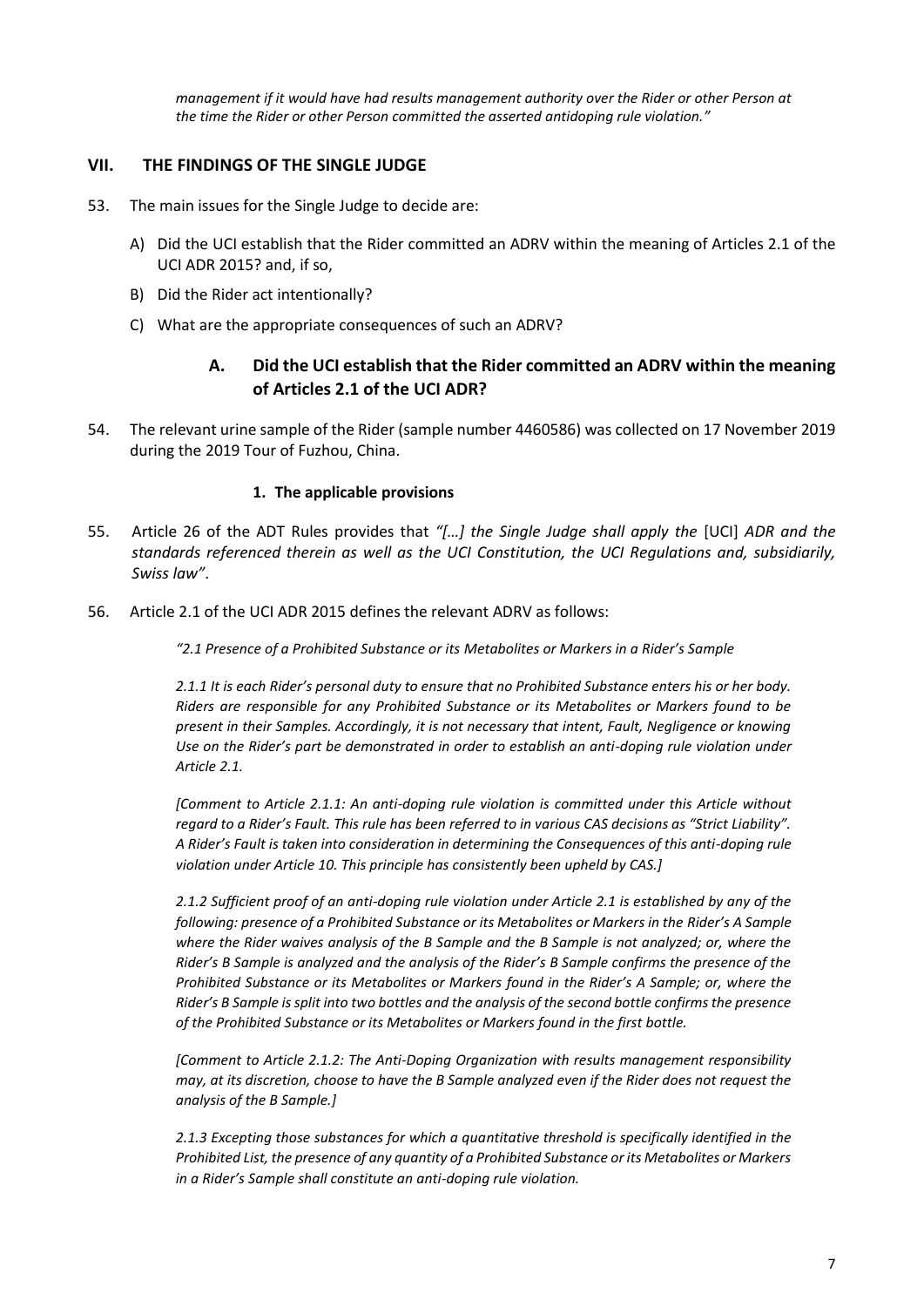*management if it would have had results management authority over the Rider or other Person at the time the Rider or other Person committed the asserted antidoping rule violation."*

## **VII. THE FINDINGS OF THE SINGLE JUDGE**

- 53. The main issues for the Single Judge to decide are:
	- A) Did the UCI establish that the Rider committed an ADRV within the meaning of Articles 2.1 of the UCI ADR 2015? and, if so,
	- B) Did the Rider act intentionally?
	- C) What are the appropriate consequences of such an ADRV?

# **A. Did the UCI establish that the Rider committed an ADRV within the meaning of Articles 2.1 of the UCI ADR?**

54. The relevant urine sample of the Rider (sample number 4460586) was collected on 17 November 2019 during the 2019 Tour of Fuzhou, China.

#### **1. The applicable provisions**

- 55. Article 26 of the ADT Rules provides that *"[…] the Single Judge shall apply the* [UCI] *ADR and the standards referenced therein as well as the UCI Constitution, the UCI Regulations and, subsidiarily, Swiss law"*.
- 56. Article 2.1 of the UCI ADR 2015 defines the relevant ADRV as follows:

*"2.1 Presence of a Prohibited Substance or its Metabolites or Markers in a Rider's Sample*

*2.1.1 It is each Rider's personal duty to ensure that no Prohibited Substance enters his or her body. Riders are responsible for any Prohibited Substance or its Metabolites or Markers found to be present in their Samples. Accordingly, it is not necessary that intent, Fault, Negligence or knowing Use on the Rider's part be demonstrated in order to establish an anti-doping rule violation under Article 2.1.* 

*[Comment to Article 2.1.1: An anti-doping rule violation is committed under this Article without regard to a Rider's Fault. This rule has been referred to in various CAS decisions as "Strict Liability". A Rider's Fault is taken into consideration in determining the Consequences of this anti-doping rule violation under Article 10. This principle has consistently been upheld by CAS.]* 

*2.1.2 Sufficient proof of an anti-doping rule violation under Article 2.1 is established by any of the following: presence of a Prohibited Substance or its Metabolites or Markers in the Rider's A Sample where the Rider waives analysis of the B Sample and the B Sample is not analyzed; or, where the Rider's B Sample is analyzed and the analysis of the Rider's B Sample confirms the presence of the Prohibited Substance or its Metabolites or Markers found in the Rider's A Sample; or, where the Rider's B Sample is split into two bottles and the analysis of the second bottle confirms the presence of the Prohibited Substance or its Metabolites or Markers found in the first bottle.* 

*[Comment to Article 2.1.2: The Anti-Doping Organization with results management responsibility may, at its discretion, choose to have the B Sample analyzed even if the Rider does not request the analysis of the B Sample.]* 

*2.1.3 Excepting those substances for which a quantitative threshold is specifically identified in the Prohibited List, the presence of any quantity of a Prohibited Substance or its Metabolites or Markers in a Rider's Sample shall constitute an anti-doping rule violation.*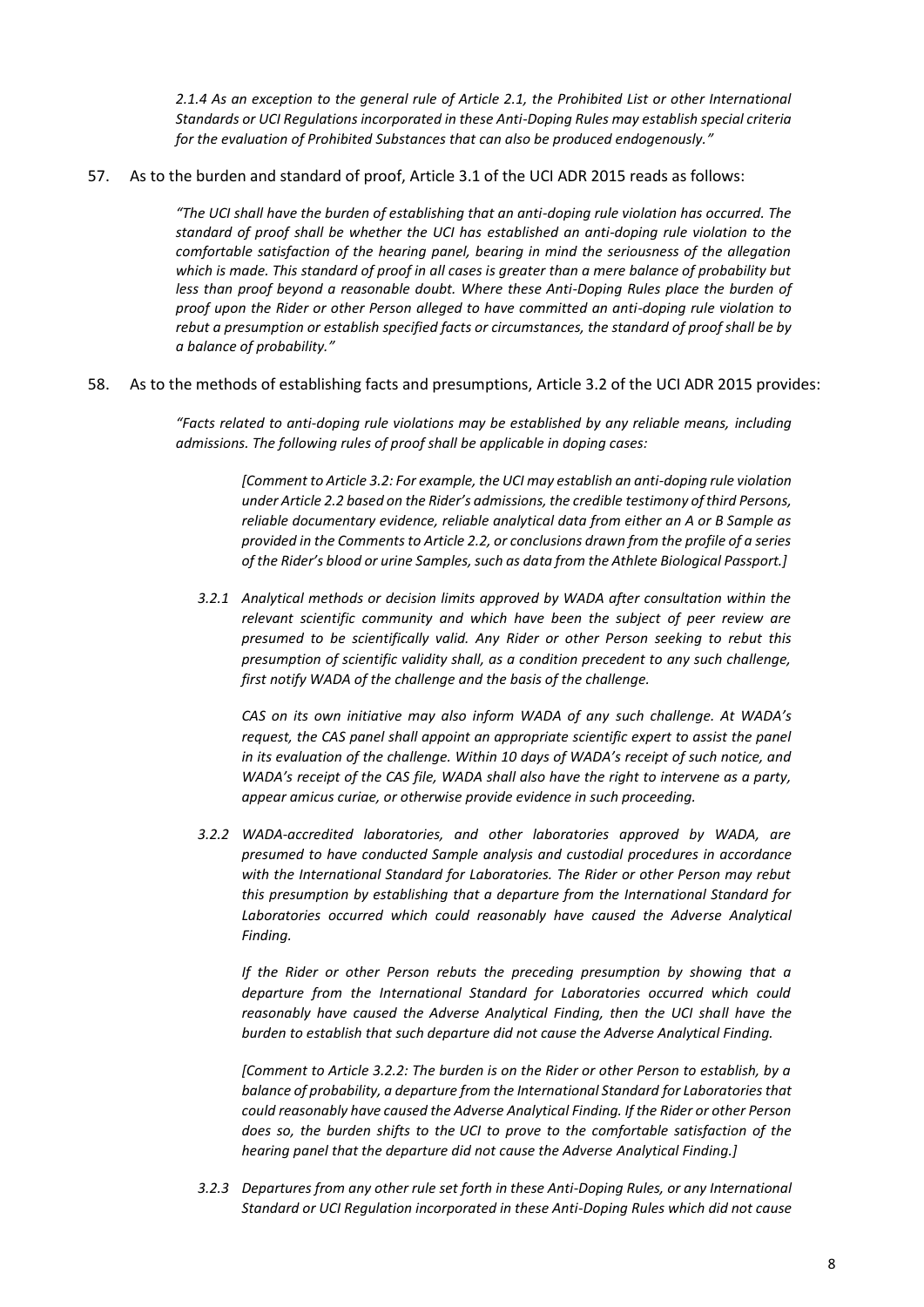*2.1.4 As an exception to the general rule of Article 2.1, the Prohibited List or other International Standards or UCI Regulations incorporated in these Anti-Doping Rules may establish special criteria for the evaluation of Prohibited Substances that can also be produced endogenously."*

57. As to the burden and standard of proof, Article 3.1 of the UCI ADR 2015 reads as follows:

*"The UCI shall have the burden of establishing that an anti-doping rule violation has occurred. The standard of proof shall be whether the UCI has established an anti-doping rule violation to the comfortable satisfaction of the hearing panel, bearing in mind the seriousness of the allegation which is made. This standard of proof in all cases is greater than a mere balance of probability but less than proof beyond a reasonable doubt. Where these Anti-Doping Rules place the burden of proof upon the Rider or other Person alleged to have committed an anti-doping rule violation to rebut a presumption or establish specified facts or circumstances, the standard of proof shall be by a balance of probability."*

58. As to the methods of establishing facts and presumptions, Article 3.2 of the UCI ADR 2015 provides:

*"Facts related to anti-doping rule violations may be established by any reliable means, including admissions. The following rules of proof shall be applicable in doping cases:*

> *[Comment to Article 3.2: For example, the UCI may establish an anti-doping rule violation under Article 2.2 based on the Rider's admissions, the credible testimony of third Persons, reliable documentary evidence, reliable analytical data from either an A or B Sample as provided in the Comments to Article 2.2, or conclusions drawn from the profile of a series of the Rider's blood or urine Samples, such as data from the Athlete Biological Passport.]*

*3.2.1 Analytical methods or decision limits approved by WADA after consultation within the relevant scientific community and which have been the subject of peer review are presumed to be scientifically valid. Any Rider or other Person seeking to rebut this presumption of scientific validity shall, as a condition precedent to any such challenge, first notify WADA of the challenge and the basis of the challenge.*

*CAS on its own initiative may also inform WADA of any such challenge. At WADA's request, the CAS panel shall appoint an appropriate scientific expert to assist the panel in its evaluation of the challenge. Within 10 days of WADA's receipt of such notice, and WADA's receipt of the CAS file, WADA shall also have the right to intervene as a party, appear amicus curiae, or otherwise provide evidence in such proceeding.*

*3.2.2 WADA-accredited laboratories, and other laboratories approved by WADA, are presumed to have conducted Sample analysis and custodial procedures in accordance with the International Standard for Laboratories. The Rider or other Person may rebut this presumption by establishing that a departure from the International Standard for*  Laboratories occurred which could reasonably have caused the Adverse Analytical *Finding.*

*If the Rider or other Person rebuts the preceding presumption by showing that a departure from the International Standard for Laboratories occurred which could reasonably have caused the Adverse Analytical Finding, then the UCI shall have the burden to establish that such departure did not cause the Adverse Analytical Finding.*

*[Comment to Article 3.2.2: The burden is on the Rider or other Person to establish, by a balance of probability, a departure from the International Standard for Laboratories that could reasonably have caused the Adverse Analytical Finding. If the Rider or other Person does so, the burden shifts to the UCI to prove to the comfortable satisfaction of the hearing panel that the departure did not cause the Adverse Analytical Finding.]*

*3.2.3 Departures from any other rule set forth in these Anti-Doping Rules, or any International Standard or UCI Regulation incorporated in these Anti-Doping Rules which did not cause*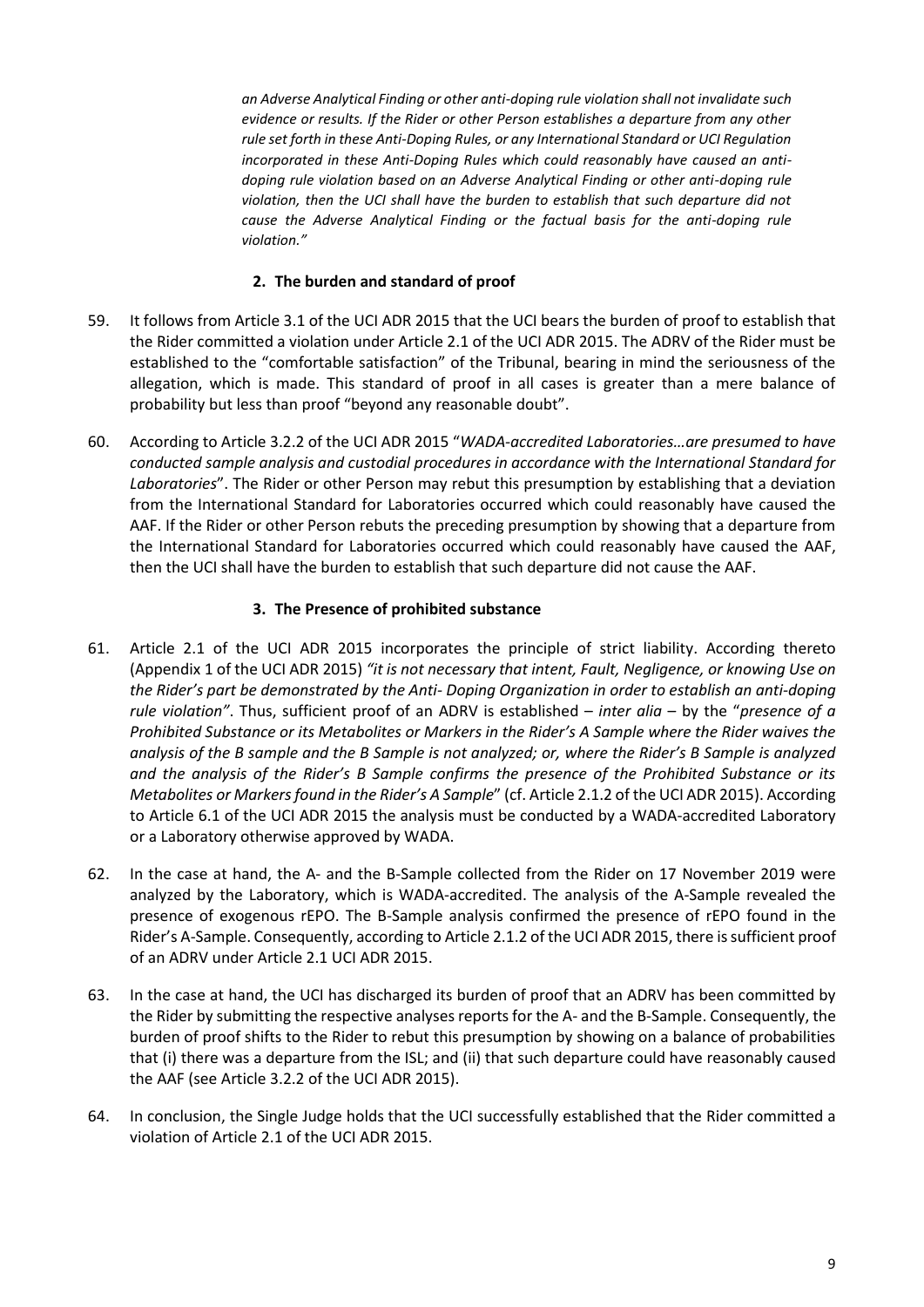*an Adverse Analytical Finding or other anti-doping rule violation shall not invalidate such evidence or results. If the Rider or other Person establishes a departure from any other rule set forth in these Anti-Doping Rules, or any International Standard or UCI Regulation incorporated in these Anti-Doping Rules which could reasonably have caused an antidoping rule violation based on an Adverse Analytical Finding or other anti-doping rule violation, then the UCI shall have the burden to establish that such departure did not cause the Adverse Analytical Finding or the factual basis for the anti-doping rule violation."*

#### **2. The burden and standard of proof**

- 59. It follows from Article 3.1 of the UCI ADR 2015 that the UCI bears the burden of proof to establish that the Rider committed a violation under Article 2.1 of the UCI ADR 2015. The ADRV of the Rider must be established to the "comfortable satisfaction" of the Tribunal, bearing in mind the seriousness of the allegation, which is made. This standard of proof in all cases is greater than a mere balance of probability but less than proof "beyond any reasonable doubt".
- 60. According to Article 3.2.2 of the UCI ADR 2015 "*WADA-accredited Laboratories…are presumed to have conducted sample analysis and custodial procedures in accordance with the International Standard for Laboratories*". The Rider or other Person may rebut this presumption by establishing that a deviation from the International Standard for Laboratories occurred which could reasonably have caused the AAF. If the Rider or other Person rebuts the preceding presumption by showing that a departure from the International Standard for Laboratories occurred which could reasonably have caused the AAF, then the UCI shall have the burden to establish that such departure did not cause the AAF.

## **3. The Presence of prohibited substance**

- 61. Article 2.1 of the UCI ADR 2015 incorporates the principle of strict liability. According thereto (Appendix 1 of the UCI ADR 2015) *"it is not necessary that intent, Fault, Negligence, or knowing Use on the Rider's part be demonstrated by the Anti- Doping Organization in order to establish an anti-doping rule violation"*. Thus, sufficient proof of an ADRV is established – *inter alia* – by the "*presence of a Prohibited Substance or its Metabolites or Markers in the Rider's A Sample where the Rider waives the analysis of the B sample and the B Sample is not analyzed; or, where the Rider's B Sample is analyzed and the analysis of the Rider's B Sample confirms the presence of the Prohibited Substance or its Metabolites or Markers found in the Rider's A Sample*" (cf. Article 2.1.2 of the UCI ADR 2015). According to Article 6.1 of the UCI ADR 2015 the analysis must be conducted by a WADA-accredited Laboratory or a Laboratory otherwise approved by WADA.
- 62. In the case at hand, the A- and the B-Sample collected from the Rider on 17 November 2019 were analyzed by the Laboratory, which is WADA-accredited. The analysis of the A-Sample revealed the presence of exogenous rEPO. The B-Sample analysis confirmed the presence of rEPO found in the Rider's A-Sample. Consequently, according to Article 2.1.2 of the UCI ADR 2015, there is sufficient proof of an ADRV under Article 2.1 UCI ADR 2015.
- 63. In the case at hand, the UCI has discharged its burden of proof that an ADRV has been committed by the Rider by submitting the respective analyses reports for the A- and the B-Sample. Consequently, the burden of proof shifts to the Rider to rebut this presumption by showing on a balance of probabilities that (i) there was a departure from the ISL; and (ii) that such departure could have reasonably caused the AAF (see Article 3.2.2 of the UCI ADR 2015).
- 64. In conclusion, the Single Judge holds that the UCI successfully established that the Rider committed a violation of Article 2.1 of the UCI ADR 2015.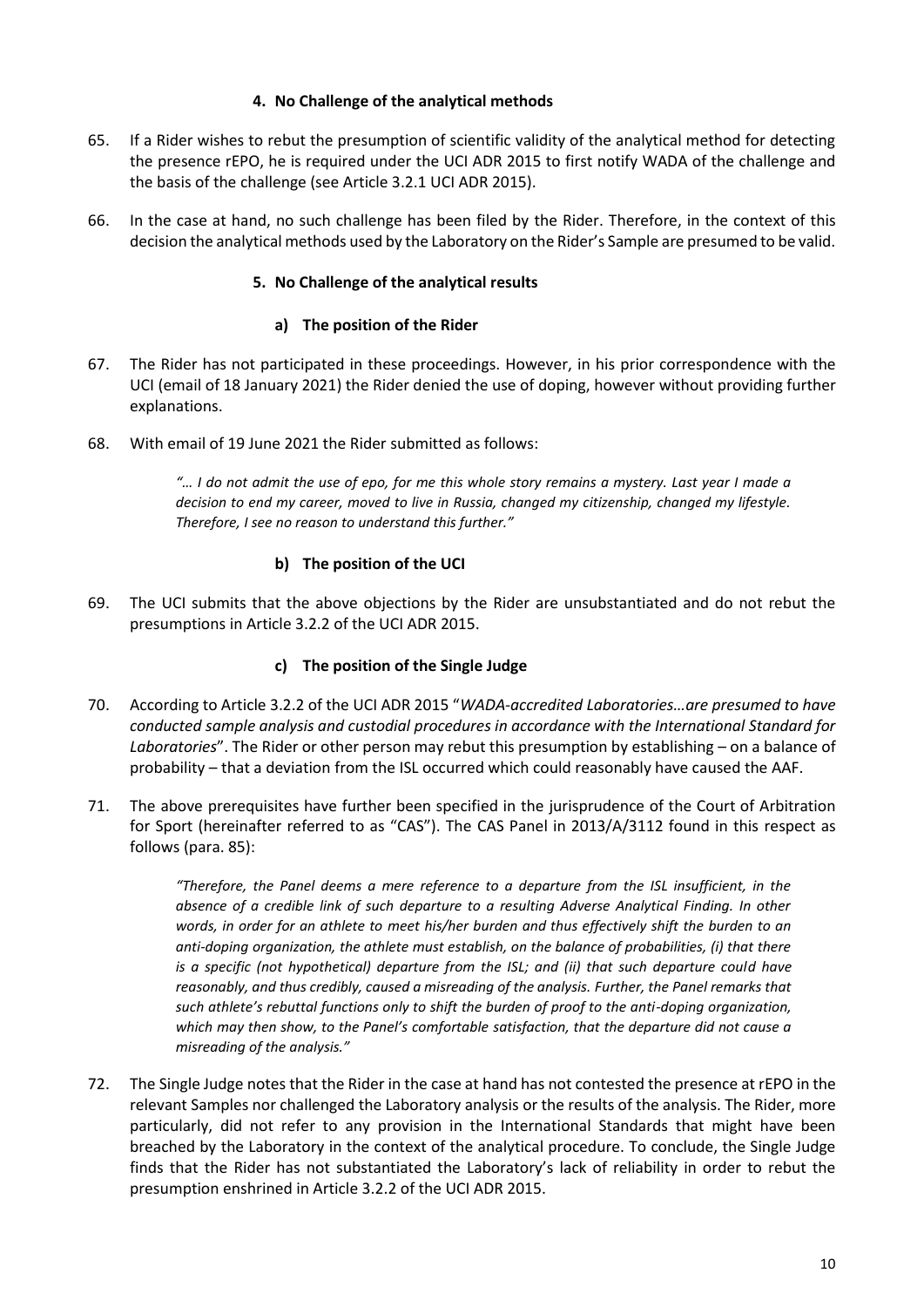#### **4. No Challenge of the analytical methods**

- 65. If a Rider wishes to rebut the presumption of scientific validity of the analytical method for detecting the presence rEPO, he is required under the UCI ADR 2015 to first notify WADA of the challenge and the basis of the challenge (see Article 3.2.1 UCI ADR 2015).
- 66. In the case at hand, no such challenge has been filed by the Rider. Therefore, in the context of this decision the analytical methods used by the Laboratory on the Rider's Sample are presumed to be valid.

#### **5. No Challenge of the analytical results**

#### **a) The position of the Rider**

- 67. The Rider has not participated in these proceedings. However, in his prior correspondence with the UCI (email of 18 January 2021) the Rider denied the use of doping, however without providing further explanations.
- 68. With email of 19 June 2021 the Rider submitted as follows:

*"… I do not admit the use of epo, for me this whole story remains a mystery. Last year I made a decision to end my career, moved to live in Russia, changed my citizenship, changed my lifestyle. Therefore, I see no reason to understand this further."*

## **b) The position of the UCI**

69. The UCI submits that the above objections by the Rider are unsubstantiated and do not rebut the presumptions in Article 3.2.2 of the UCI ADR 2015.

## **c) The position of the Single Judge**

- 70. According to Article 3.2.2 of the UCI ADR 2015 "*WADA-accredited Laboratories…are presumed to have conducted sample analysis and custodial procedures in accordance with the International Standard for Laboratories*". The Rider or other person may rebut this presumption by establishing – on a balance of probability – that a deviation from the ISL occurred which could reasonably have caused the AAF.
- 71. The above prerequisites have further been specified in the jurisprudence of the Court of Arbitration for Sport (hereinafter referred to as "CAS"). The CAS Panel in 2013/A/3112 found in this respect as follows (para. 85):

*"Therefore, the Panel deems a mere reference to a departure from the ISL insufficient, in the absence of a credible link of such departure to a resulting Adverse Analytical Finding. In other*  words, in order for an athlete to meet his/her burden and thus effectively shift the burden to an *anti-doping organization, the athlete must establish, on the balance of probabilities, (i) that there is a specific (not hypothetical) departure from the ISL; and (ii) that such departure could have reasonably, and thus credibly, caused a misreading of the analysis. Further, the Panel remarks that such athlete's rebuttal functions only to shift the burden of proof to the anti-doping organization, which may then show, to the Panel's comfortable satisfaction, that the departure did not cause a misreading of the analysis."*

72. The Single Judge notes that the Rider in the case at hand has not contested the presence at rEPO in the relevant Samples nor challenged the Laboratory analysis or the results of the analysis. The Rider, more particularly, did not refer to any provision in the International Standards that might have been breached by the Laboratory in the context of the analytical procedure. To conclude, the Single Judge finds that the Rider has not substantiated the Laboratory's lack of reliability in order to rebut the presumption enshrined in Article 3.2.2 of the UCI ADR 2015.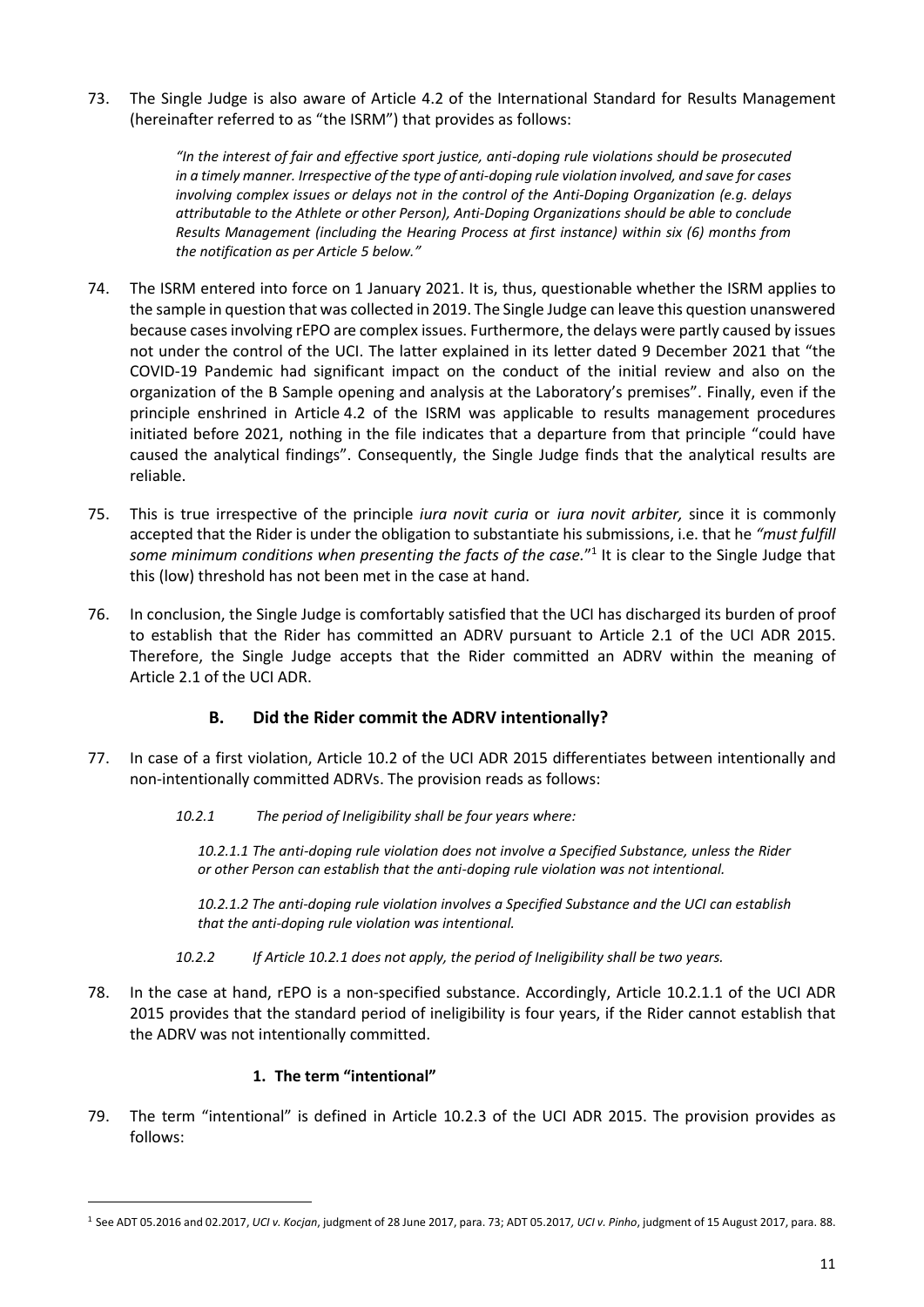73. The Single Judge is also aware of Article 4.2 of the International Standard for Results Management (hereinafter referred to as "the ISRM") that provides as follows:

> *"In the interest of fair and effective sport justice, anti-doping rule violations should be prosecuted in a timely manner. Irrespective of the type of anti-doping rule violation involved, and save for cases involving complex issues or delays not in the control of the Anti-Doping Organization (e.g. delays attributable to the Athlete or other Person), Anti-Doping Organizations should be able to conclude Results Management (including the Hearing Process at first instance) within six (6) months from the notification as per Article 5 below."*

- 74. The ISRM entered into force on 1 January 2021. It is, thus, questionable whether the ISRM applies to the sample in question that was collected in 2019. The Single Judge can leave this question unanswered because cases involving rEPO are complex issues. Furthermore, the delays were partly caused by issues not under the control of the UCI. The latter explained in its letter dated 9 December 2021 that "the COVID-19 Pandemic had significant impact on the conduct of the initial review and also on the organization of the B Sample opening and analysis at the Laboratory's premises". Finally, even if the principle enshrined in Article 4.2 of the ISRM was applicable to results management procedures initiated before 2021, nothing in the file indicates that a departure from that principle "could have caused the analytical findings". Consequently, the Single Judge finds that the analytical results are reliable.
- 75. This is true irrespective of the principle *iura novit curia* or *iura novit arbiter,* since it is commonly accepted that the Rider is under the obligation to substantiate his submissions, i.e. that he *"must fulfill*  some minimum conditions when presenting the facts of the case."<sup>1</sup> It is clear to the Single Judge that this (low) threshold has not been met in the case at hand.
- 76. In conclusion, the Single Judge is comfortably satisfied that the UCI has discharged its burden of proof to establish that the Rider has committed an ADRV pursuant to Article 2.1 of the UCI ADR 2015. Therefore, the Single Judge accepts that the Rider committed an ADRV within the meaning of Article 2.1 of the UCI ADR.

## **B. Did the Rider commit the ADRV intentionally?**

- 77. In case of a first violation, Article 10.2 of the UCI ADR 2015 differentiates between intentionally and non-intentionally committed ADRVs. The provision reads as follows:
	- *10.2.1 The period of Ineligibility shall be four years where:*

*10.2.1.1 The anti-doping rule violation does not involve a Specified Substance, unless the Rider or other Person can establish that the anti-doping rule violation was not intentional.* 

*10.2.1.2 The anti-doping rule violation involves a Specified Substance and the UCI can establish that the anti-doping rule violation was intentional.*

*10.2.2 If Article 10.2.1 does not apply, the period of Ineligibility shall be two years.*

78. In the case at hand, rEPO is a non-specified substance. Accordingly, Article 10.2.1.1 of the UCI ADR 2015 provides that the standard period of ineligibility is four years, if the Rider cannot establish that the ADRV was not intentionally committed.

## **1. The term "intentional"**

79. The term "intentional" is defined in Article 10.2.3 of the UCI ADR 2015. The provision provides as follows:

<sup>1</sup> See ADT 05.2016 and 02.2017, *UCI v. Kocjan*, judgment of 28 June 2017, para. 73; ADT 05.2017*, UCI v. Pinho*, judgment of 15 August 2017, para. 88.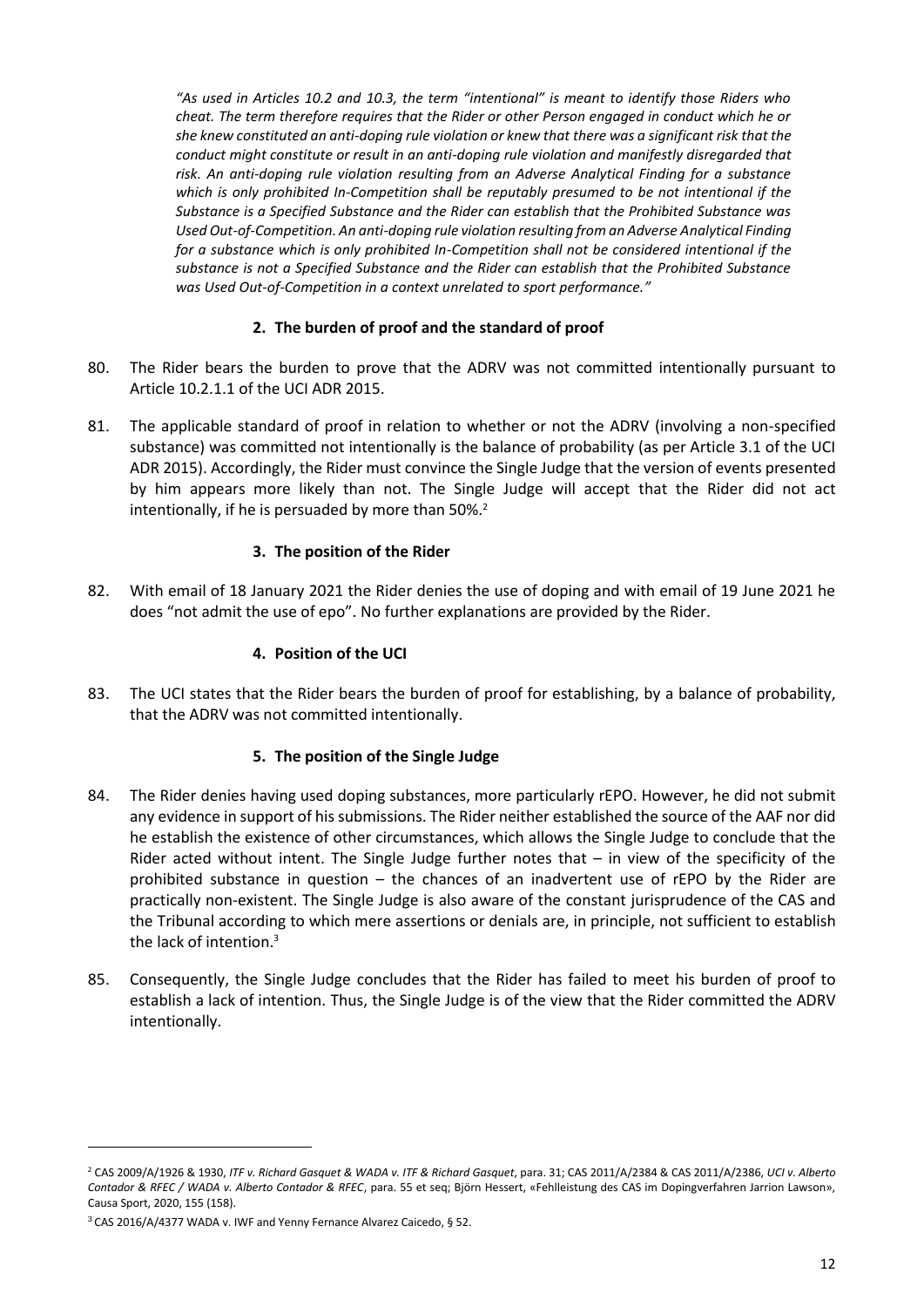*"As used in Articles 10.2 and 10.3, the term "intentional" is meant to identify those Riders who cheat. The term therefore requires that the Rider or other Person engaged in conduct which he or she knew constituted an anti-doping rule violation or knew that there was a significant risk that the conduct might constitute or result in an anti-doping rule violation and manifestly disregarded that risk. An anti-doping rule violation resulting from an Adverse Analytical Finding for a substance which is only prohibited In-Competition shall be reputably presumed to be not intentional if the Substance is a Specified Substance and the Rider can establish that the Prohibited Substance was Used Out-of-Competition. An anti-doping rule violation resulting from an Adverse Analytical Finding for a substance which is only prohibited In-Competition shall not be considered intentional if the substance is not a Specified Substance and the Rider can establish that the Prohibited Substance was Used Out-of-Competition in a context unrelated to sport performance."*

#### **2. The burden of proof and the standard of proof**

- 80. The Rider bears the burden to prove that the ADRV was not committed intentionally pursuant to Article 10.2.1.1 of the UCI ADR 2015.
- 81. The applicable standard of proof in relation to whether or not the ADRV (involving a non-specified substance) was committed not intentionally is the balance of probability (as per Article 3.1 of the UCI ADR 2015). Accordingly, the Rider must convince the Single Judge that the version of events presented by him appears more likely than not. The Single Judge will accept that the Rider did not act intentionally, if he is persuaded by more than 50%.<sup>2</sup>

## **3. The position of the Rider**

82. With email of 18 January 2021 the Rider denies the use of doping and with email of 19 June 2021 he does "not admit the use of epo". No further explanations are provided by the Rider.

#### **4. Position of the UCI**

83. The UCI states that the Rider bears the burden of proof for establishing, by a balance of probability, that the ADRV was not committed intentionally.

#### **5. The position of the Single Judge**

- 84. The Rider denies having used doping substances, more particularly rEPO. However, he did not submit any evidence in support of his submissions. The Rider neither established the source of the AAF nor did he establish the existence of other circumstances, which allows the Single Judge to conclude that the Rider acted without intent. The Single Judge further notes that – in view of the specificity of the prohibited substance in question – the chances of an inadvertent use of rEPO by the Rider are practically non-existent. The Single Judge is also aware of the constant jurisprudence of the CAS and the Tribunal according to which mere assertions or denials are, in principle, not sufficient to establish the lack of intention.<sup>3</sup>
- 85. Consequently, the Single Judge concludes that the Rider has failed to meet his burden of proof to establish a lack of intention. Thus, the Single Judge is of the view that the Rider committed the ADRV intentionally.

<sup>2</sup> CAS 2009/A/1926 & 1930, *ITF v. Richard Gasquet & WADA v. ITF & Richard Gasquet*, para. 31; CAS 2011/A/2384 & CAS 2011/A/2386, *UCI v. Alberto Contador & RFEC / WADA v. Alberto Contador & RFEC*, para. 55 et seq; Björn Hessert, «Fehlleistung des CAS im Dopingverfahren Jarrion Lawson», Causa Sport, 2020, 155 (158).

<sup>3</sup> CAS 2016/A/4377 WADA v. IWF and Yenny Fernance Alvarez Caicedo, § 52.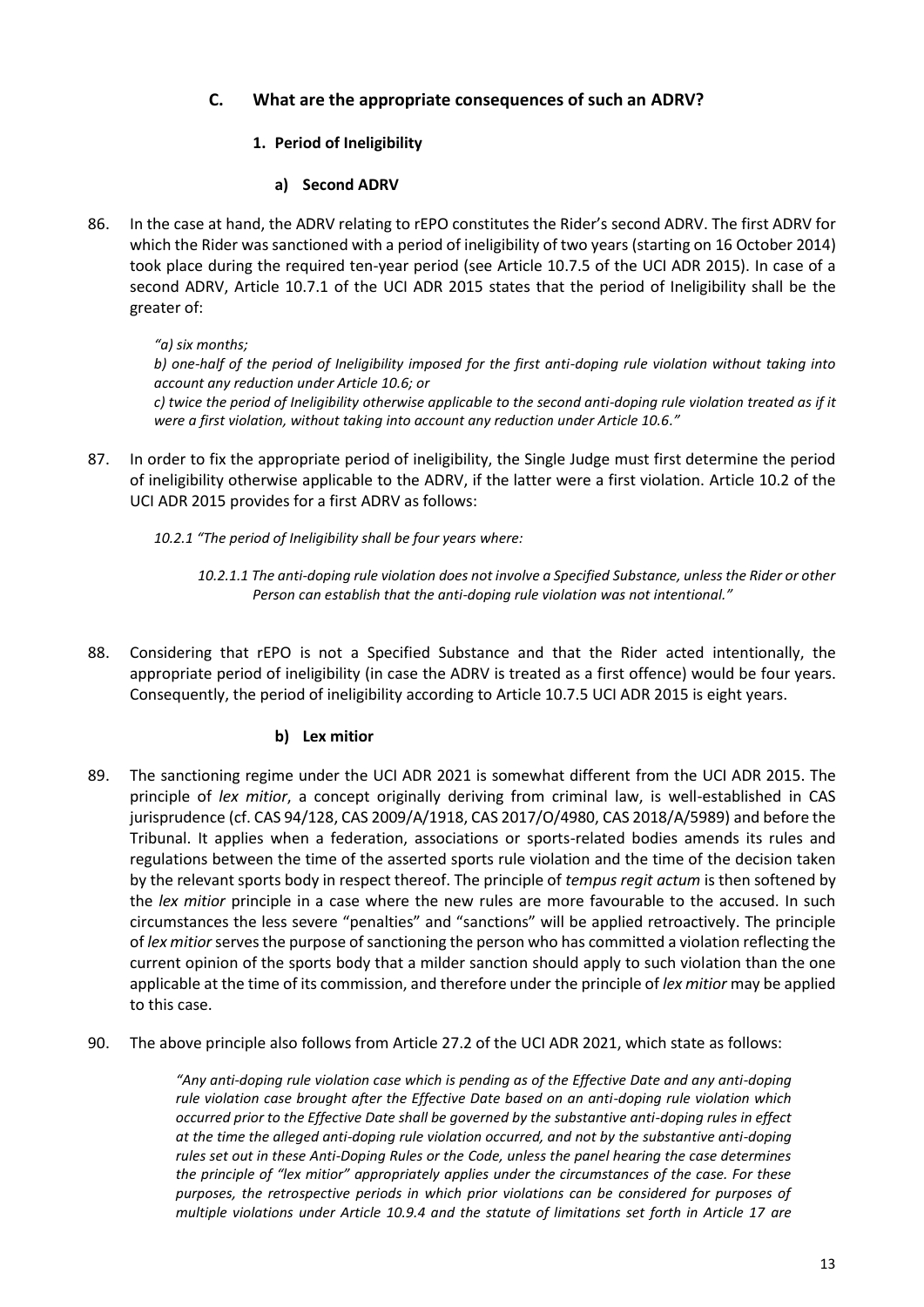# **C. What are the appropriate consequences of such an ADRV?**

## **1. Period of Ineligibility**

## **a) Second ADRV**

86. In the case at hand, the ADRV relating to rEPO constitutes the Rider's second ADRV. The first ADRV for which the Rider was sanctioned with a period of ineligibility of two years (starting on 16 October 2014) took place during the required ten-year period (see Article 10.7.5 of the UCI ADR 2015). In case of a second ADRV, Article 10.7.1 of the UCI ADR 2015 states that the period of Ineligibility shall be the greater of:

*"a) six months;*

*b) one-half of the period of Ineligibility imposed for the first anti-doping rule violation without taking into account any reduction under Article 10.6; or*

*c) twice the period of Ineligibility otherwise applicable to the second anti-doping rule violation treated as if it were a first violation, without taking into account any reduction under Article 10.6."*

87. In order to fix the appropriate period of ineligibility, the Single Judge must first determine the period of ineligibility otherwise applicable to the ADRV, if the latter were a first violation. Article 10.2 of the UCI ADR 2015 provides for a first ADRV as follows:

*10.2.1 "The period of Ineligibility shall be four years where:*

- *10.2.1.1 The anti-doping rule violation does not involve a Specified Substance, unless the Rider or other Person can establish that the anti-doping rule violation was not intentional."*
- 88. Considering that rEPO is not a Specified Substance and that the Rider acted intentionally, the appropriate period of ineligibility (in case the ADRV is treated as a first offence) would be four years. Consequently, the period of ineligibility according to Article 10.7.5 UCI ADR 2015 is eight years.

## **b) Lex mitior**

- 89. The sanctioning regime under the UCI ADR 2021 is somewhat different from the UCI ADR 2015. The principle of *lex mitior*, a concept originally deriving from criminal law, is well-established in CAS jurisprudence (cf. CAS 94/128, CAS 2009/A/1918, CAS 2017/O/4980, CAS 2018/A/5989) and before the Tribunal. It applies when a federation, associations or sports-related bodies amends its rules and regulations between the time of the asserted sports rule violation and the time of the decision taken by the relevant sports body in respect thereof. The principle of *tempus regit actum* is then softened by the *lex mitior* principle in a case where the new rules are more favourable to the accused. In such circumstances the less severe "penalties" and "sanctions" will be applied retroactively. The principle of *lex mitior* serves the purpose of sanctioning the person who has committed a violation reflecting the current opinion of the sports body that a milder sanction should apply to such violation than the one applicable at the time of its commission, and therefore under the principle of *lex mitior* may be applied to this case.
- 90. The above principle also follows from Article 27.2 of the UCI ADR 2021, which state as follows:

*"Any anti-doping rule violation case which is pending as of the Effective Date and any anti-doping rule violation case brought after the Effective Date based on an anti-doping rule violation which occurred prior to the Effective Date shall be governed by the substantive anti-doping rules in effect at the time the alleged anti-doping rule violation occurred, and not by the substantive anti-doping rules set out in these Anti-Doping Rules or the Code, unless the panel hearing the case determines the principle of "lex mitior" appropriately applies under the circumstances of the case. For these purposes, the retrospective periods in which prior violations can be considered for purposes of multiple violations under Article 10.9.4 and the statute of limitations set forth in Article 17 are*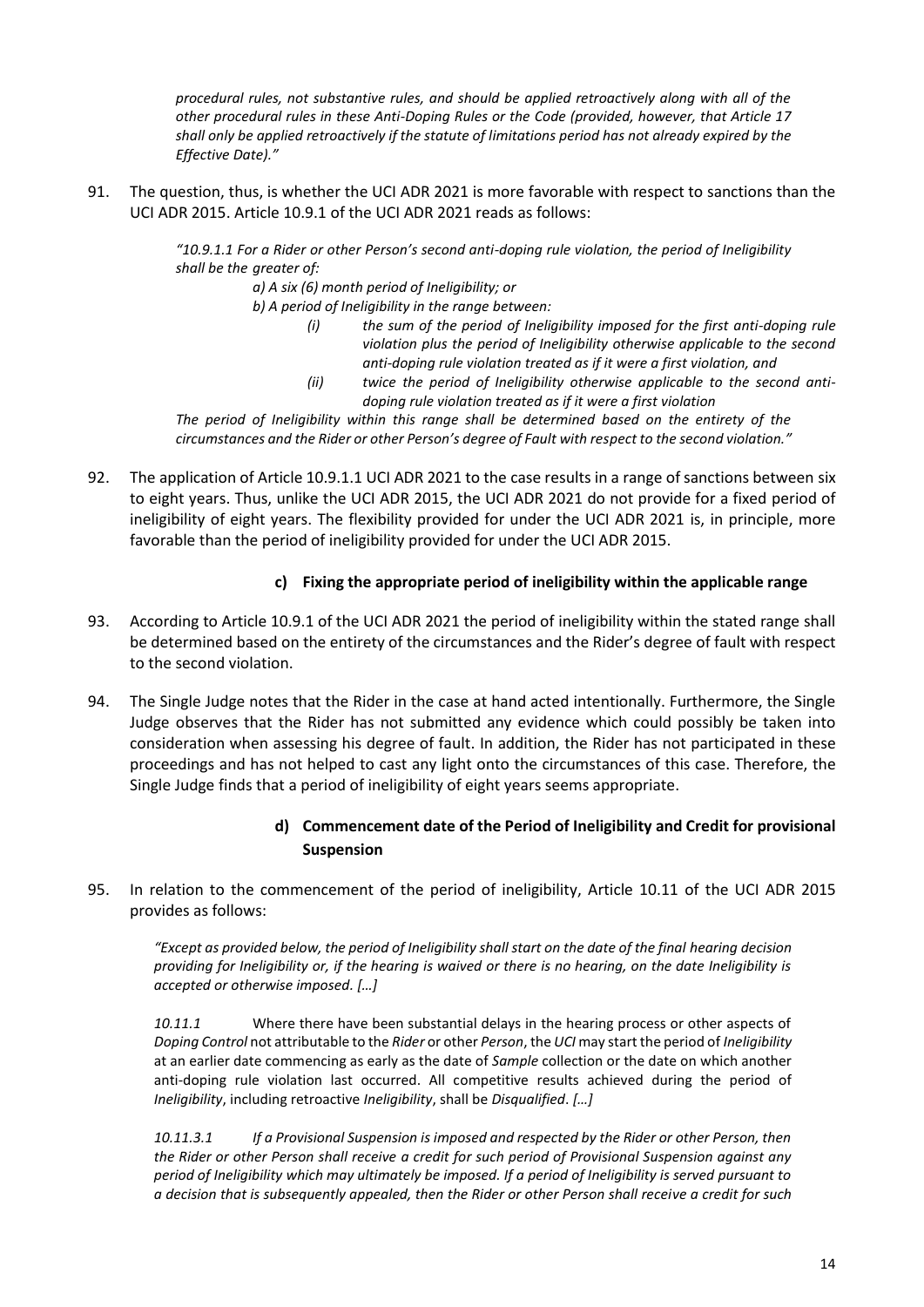*procedural rules, not substantive rules, and should be applied retroactively along with all of the other procedural rules in these Anti-Doping Rules or the Code (provided, however, that Article 17 shall only be applied retroactively if the statute of limitations period has not already expired by the Effective Date)."*

91. The question, thus, is whether the UCI ADR 2021 is more favorable with respect to sanctions than the UCI ADR 2015. Article 10.9.1 of the UCI ADR 2021 reads as follows:

> *"10.9.1.1 For a Rider or other Person's second anti-doping rule violation, the period of Ineligibility shall be the greater of:*

*a) A six (6) month period of Ineligibility; or*

*b) A period of Ineligibility in the range between:*

- *(i) the sum of the period of Ineligibility imposed for the first anti-doping rule violation plus the period of Ineligibility otherwise applicable to the second anti-doping rule violation treated as if it were a first violation, and*
- *(ii) twice the period of Ineligibility otherwise applicable to the second antidoping rule violation treated as if it were a first violation*

*The period of Ineligibility within this range shall be determined based on the entirety of the circumstances and the Rider or other Person's degree of Fault with respect to the second violation."*

92. The application of Article 10.9.1.1 UCI ADR 2021 to the case results in a range of sanctions between six to eight years. Thus, unlike the UCI ADR 2015, the UCI ADR 2021 do not provide for a fixed period of ineligibility of eight years. The flexibility provided for under the UCI ADR 2021 is, in principle, more favorable than the period of ineligibility provided for under the UCI ADR 2015.

## **c) Fixing the appropriate period of ineligibility within the applicable range**

- 93. According to Article 10.9.1 of the UCI ADR 2021 the period of ineligibility within the stated range shall be determined based on the entirety of the circumstances and the Rider's degree of fault with respect to the second violation.
- 94. The Single Judge notes that the Rider in the case at hand acted intentionally. Furthermore, the Single Judge observes that the Rider has not submitted any evidence which could possibly be taken into consideration when assessing his degree of fault. In addition, the Rider has not participated in these proceedings and has not helped to cast any light onto the circumstances of this case. Therefore, the Single Judge finds that a period of ineligibility of eight years seems appropriate.

# **d) Commencement date of the Period of Ineligibility and Credit for provisional Suspension**

95. In relation to the commencement of the period of ineligibility, Article 10.11 of the UCI ADR 2015 provides as follows:

*"Except as provided below, the period of Ineligibility shall start on the date of the final hearing decision providing for Ineligibility or, if the hearing is waived or there is no hearing, on the date Ineligibility is accepted or otherwise imposed. […]*

*10.11.1* Where there have been substantial delays in the hearing process or other aspects of *Doping Control* not attributable to the *Rider* or other *Person*, the *UCI* may start the period of *Ineligibility*  at an earlier date commencing as early as the date of *Sample* collection or the date on which another anti-doping rule violation last occurred. All competitive results achieved during the period of *Ineligibility*, including retroactive *Ineligibility*, shall be *Disqualified*. *[…]*

*10.11.3.1 If a Provisional Suspension is imposed and respected by the Rider or other Person, then the Rider or other Person shall receive a credit for such period of Provisional Suspension against any period of Ineligibility which may ultimately be imposed. If a period of Ineligibility is served pursuant to a decision that is subsequently appealed, then the Rider or other Person shall receive a credit for such*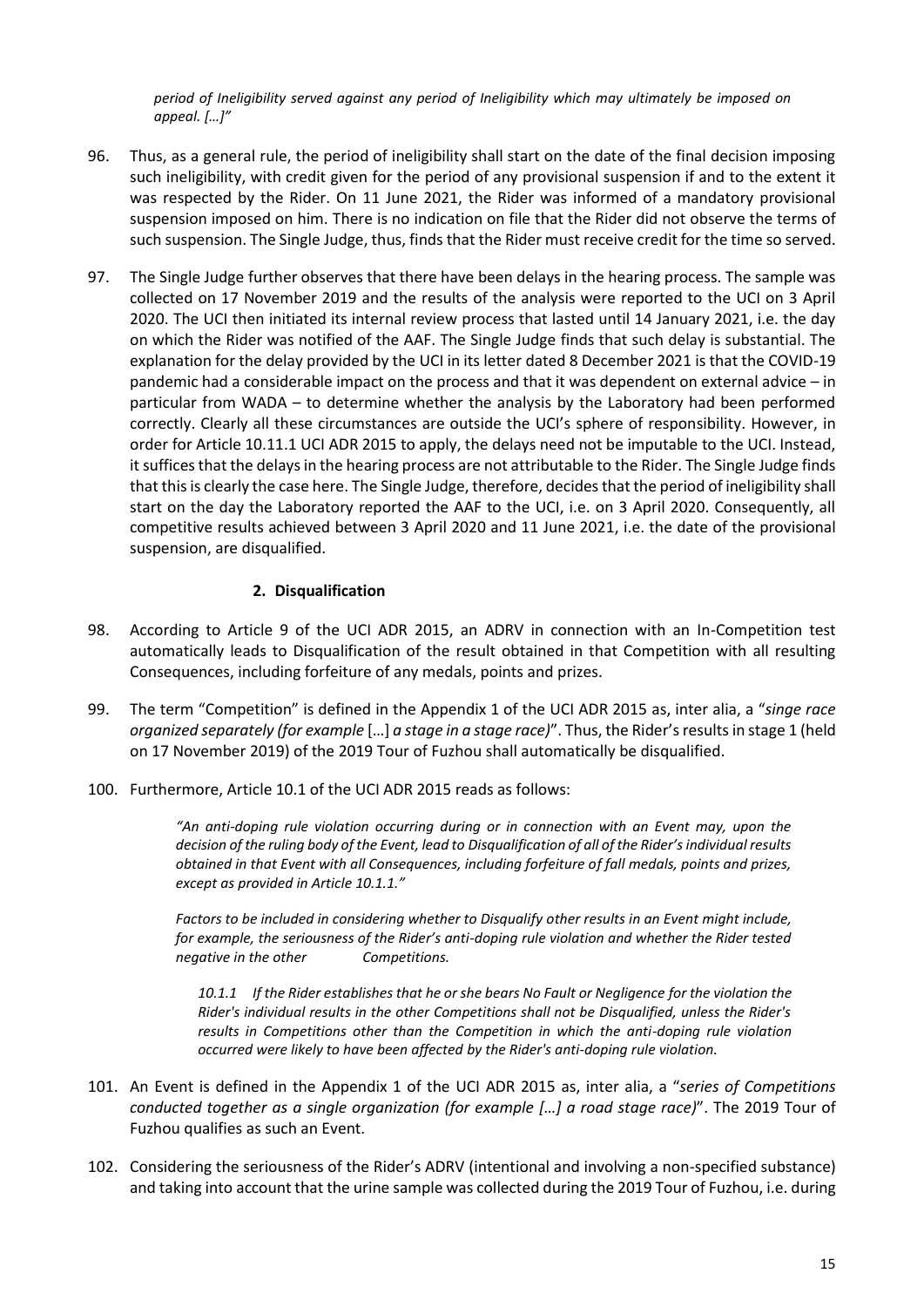*period of Ineligibility served against any period of Ineligibility which may ultimately be imposed on appeal. […]"*

- 96. Thus, as a general rule, the period of ineligibility shall start on the date of the final decision imposing such ineligibility, with credit given for the period of any provisional suspension if and to the extent it was respected by the Rider. On 11 June 2021, the Rider was informed of a mandatory provisional suspension imposed on him. There is no indication on file that the Rider did not observe the terms of such suspension. The Single Judge, thus, finds that the Rider must receive credit for the time so served.
- 97. The Single Judge further observes that there have been delays in the hearing process. The sample was collected on 17 November 2019 and the results of the analysis were reported to the UCI on 3 April 2020. The UCI then initiated its internal review process that lasted until 14 January 2021, i.e. the day on which the Rider was notified of the AAF. The Single Judge finds that such delay is substantial. The explanation for the delay provided by the UCI in its letter dated 8 December 2021 is that the COVID-19 pandemic had a considerable impact on the process and that it was dependent on external advice – in particular from WADA – to determine whether the analysis by the Laboratory had been performed correctly. Clearly all these circumstances are outside the UCI's sphere of responsibility. However, in order for Article 10.11.1 UCI ADR 2015 to apply, the delays need not be imputable to the UCI. Instead, it suffices that the delays in the hearing process are not attributable to the Rider. The Single Judge finds that this is clearly the case here. The Single Judge, therefore, decides that the period of ineligibility shall start on the day the Laboratory reported the AAF to the UCI, i.e. on 3 April 2020. Consequently, all competitive results achieved between 3 April 2020 and 11 June 2021, i.e. the date of the provisional suspension, are disqualified.

#### **2. Disqualification**

- 98. According to Article 9 of the UCI ADR 2015, an ADRV in connection with an In-Competition test automatically leads to Disqualification of the result obtained in that Competition with all resulting Consequences, including forfeiture of any medals, points and prizes.
- 99. The term "Competition" is defined in the Appendix 1 of the UCI ADR 2015 as, inter alia, a "*singe race organized separately (for example* […] *a stage in a stage race)*". Thus, the Rider's results in stage 1 (held on 17 November 2019) of the 2019 Tour of Fuzhou shall automatically be disqualified.
- 100. Furthermore, Article 10.1 of the UCI ADR 2015 reads as follows:

*"An anti-doping rule violation occurring during or in connection with an Event may, upon the decision of the ruling body of the Event, lead to Disqualification of all of the Rider's individual results obtained in that Event with all Consequences, including forfeiture of fall medals, points and prizes, except as provided in Article 10.1.1."*

*Factors to be included in considering whether to Disqualify other results in an Event might include, for example, the seriousness of the Rider's anti-doping rule violation and whether the Rider tested negative in the other Competitions.*

*10.1.1 If the Rider establishes that he or she bears No Fault or Negligence for the violation the Rider's individual results in the other Competitions shall not be Disqualified, unless the Rider's results in Competitions other than the Competition in which the anti-doping rule violation occurred were likely to have been affected by the Rider's anti-doping rule violation.*

- 101. An Event is defined in the Appendix 1 of the UCI ADR 2015 as, inter alia, a "*series of Competitions conducted together as a single organization (for example […] a road stage race)*". The 2019 Tour of Fuzhou qualifies as such an Event.
- 102. Considering the seriousness of the Rider's ADRV (intentional and involving a non-specified substance) and taking into account that the urine sample was collected during the 2019 Tour of Fuzhou, i.e. during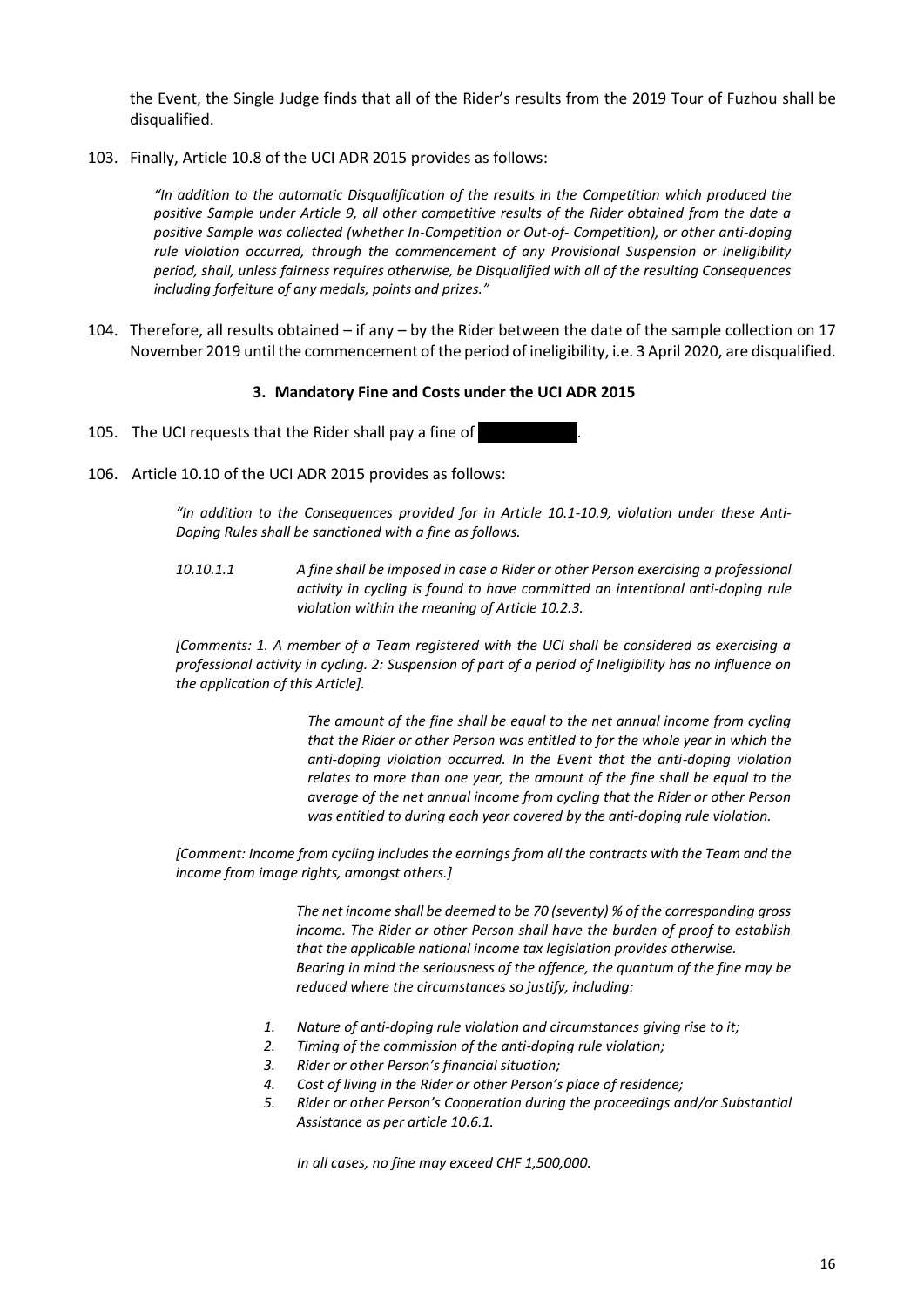the Event, the Single Judge finds that all of the Rider's results from the 2019 Tour of Fuzhou shall be disqualified.

103. Finally, Article 10.8 of the UCI ADR 2015 provides as follows:

*"In addition to the automatic Disqualification of the results in the Competition which produced the positive Sample under Article 9, all other competitive results of the Rider obtained from the date a positive Sample was collected (whether In-Competition or Out-of- Competition), or other anti-doping rule violation occurred, through the commencement of any Provisional Suspension or Ineligibility period, shall, unless fairness requires otherwise, be Disqualified with all of the resulting Consequences including forfeiture of any medals, points and prizes."*

104. Therefore, all results obtained – if any – by the Rider between the date of the sample collection on 17 November 2019 until the commencement of the period of ineligibility, i.e. 3 April 2020, are disqualified.

#### **3. Mandatory Fine and Costs under the UCI ADR 2015**

- 105. The UCI requests that the Rider shall pay a fine of
- 106. Article 10.10 of the UCI ADR 2015 provides as follows:

*"In addition to the Consequences provided for in Article 10.1-10.9, violation under these Anti-Doping Rules shall be sanctioned with a fine as follows.* 

*10.10.1.1 A fine shall be imposed in case a Rider or other Person exercising a professional activity in cycling is found to have committed an intentional anti-doping rule violation within the meaning of Article 10.2.3.* 

*[Comments: 1. A member of a Team registered with the UCI shall be considered as exercising a professional activity in cycling. 2: Suspension of part of a period of Ineligibility has no influence on the application of this Article].* 

> *The amount of the fine shall be equal to the net annual income from cycling that the Rider or other Person was entitled to for the whole year in which the anti-doping violation occurred. In the Event that the anti-doping violation relates to more than one year, the amount of the fine shall be equal to the average of the net annual income from cycling that the Rider or other Person was entitled to during each year covered by the anti-doping rule violation.*

*[Comment: Income from cycling includes the earnings from all the contracts with the Team and the income from image rights, amongst others.]* 

> *The net income shall be deemed to be 70 (seventy) % of the corresponding gross income. The Rider or other Person shall have the burden of proof to establish that the applicable national income tax legislation provides otherwise. Bearing in mind the seriousness of the offence, the quantum of the fine may be reduced where the circumstances so justify, including:*

- *1. Nature of anti-doping rule violation and circumstances giving rise to it;*
- *2. Timing of the commission of the anti-doping rule violation;*
- *3. Rider or other Person's financial situation;*
- *4. Cost of living in the Rider or other Person's place of residence;*
- *5. Rider or other Person's Cooperation during the proceedings and/or Substantial Assistance as per article 10.6.1.*

*In all cases, no fine may exceed CHF 1,500,000.*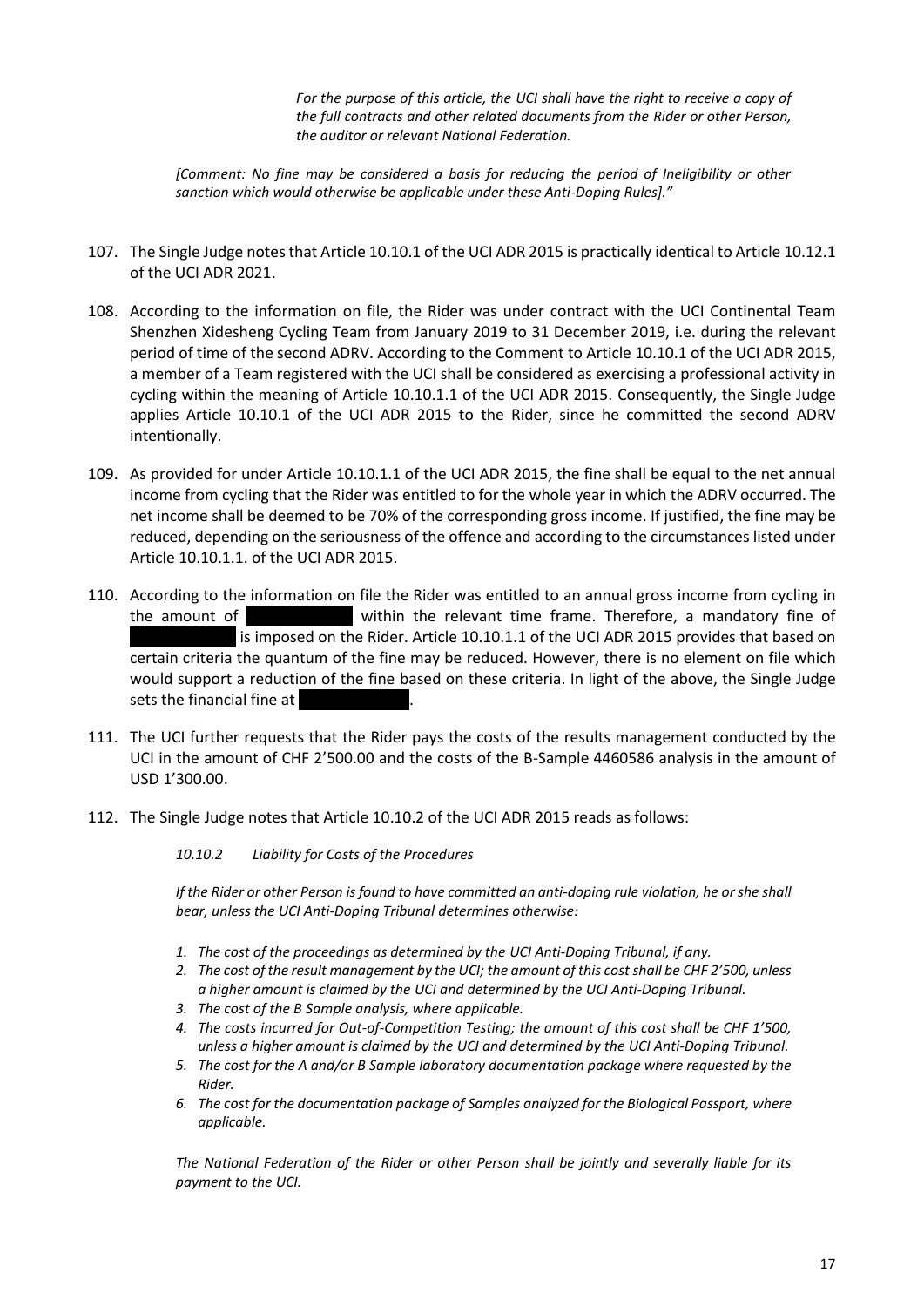*For the purpose of this article, the UCI shall have the right to receive a copy of the full contracts and other related documents from the Rider or other Person, the auditor or relevant National Federation.* 

*[Comment: No fine may be considered a basis for reducing the period of Ineligibility or other sanction which would otherwise be applicable under these Anti-Doping Rules]."* 

- 107. The Single Judge notes that Article 10.10.1 of the UCI ADR 2015 is practically identical to Article 10.12.1 of the UCI ADR 2021.
- 108. According to the information on file, the Rider was under contract with the UCI Continental Team Shenzhen Xidesheng Cycling Team from January 2019 to 31 December 2019, i.e. during the relevant period of time of the second ADRV. According to the Comment to Article 10.10.1 of the UCI ADR 2015, a member of a Team registered with the UCI shall be considered as exercising a professional activity in cycling within the meaning of Article 10.10.1.1 of the UCI ADR 2015. Consequently, the Single Judge applies Article 10.10.1 of the UCI ADR 2015 to the Rider, since he committed the second ADRV intentionally.
- 109. As provided for under Article 10.10.1.1 of the UCI ADR 2015, the fine shall be equal to the net annual income from cycling that the Rider was entitled to for the whole year in which the ADRV occurred. The net income shall be deemed to be 70% of the corresponding gross income. If justified, the fine may be reduced, depending on the seriousness of the offence and according to the circumstances listed under Article 10.10.1.1. of the UCI ADR 2015.
- 110. According to the information on file the Rider was entitled to an annual gross income from cycling in the amount of ……………………… within the relevant time frame. Therefore, a mandatory fine of is imposed on the Rider. Article 10.10.1.1 of the UCI ADR 2015 provides that based on certain criteria the quantum of the fine may be reduced. However, there is no element on file which would support a reduction of the fine based on these criteria. In light of the above, the Single Judge sets the financial fine at
- 111. The UCI further requests that the Rider pays the costs of the results management conducted by the UCI in the amount of CHF 2'500.00 and the costs of the B-Sample 4460586 analysis in the amount of USD 1'300.00.
- 112. The Single Judge notes that Article 10.10.2 of the UCI ADR 2015 reads as follows:

*10.10.2 Liability for Costs of the Procedures*

*If the Rider or other Person is found to have committed an anti-doping rule violation, he or she shall bear, unless the UCI Anti-Doping Tribunal determines otherwise:* 

- *1. The cost of the proceedings as determined by the UCI Anti-Doping Tribunal, if any.*
- *2. The cost of the result management by the UCI; the amount of this cost shall be CHF 2'500, unless a higher amount is claimed by the UCI and determined by the UCI Anti-Doping Tribunal.*
- *3. The cost of the B Sample analysis, where applicable.*
- *4. The costs incurred for Out-of-Competition Testing; the amount of this cost shall be CHF 1'500, unless a higher amount is claimed by the UCI and determined by the UCI Anti-Doping Tribunal.*
- *5. The cost for the A and/or B Sample laboratory documentation package where requested by the Rider.*
- *6. The cost for the documentation package of Samples analyzed for the Biological Passport, where applicable.*

*The National Federation of the Rider or other Person shall be jointly and severally liable for its payment to the UCI.*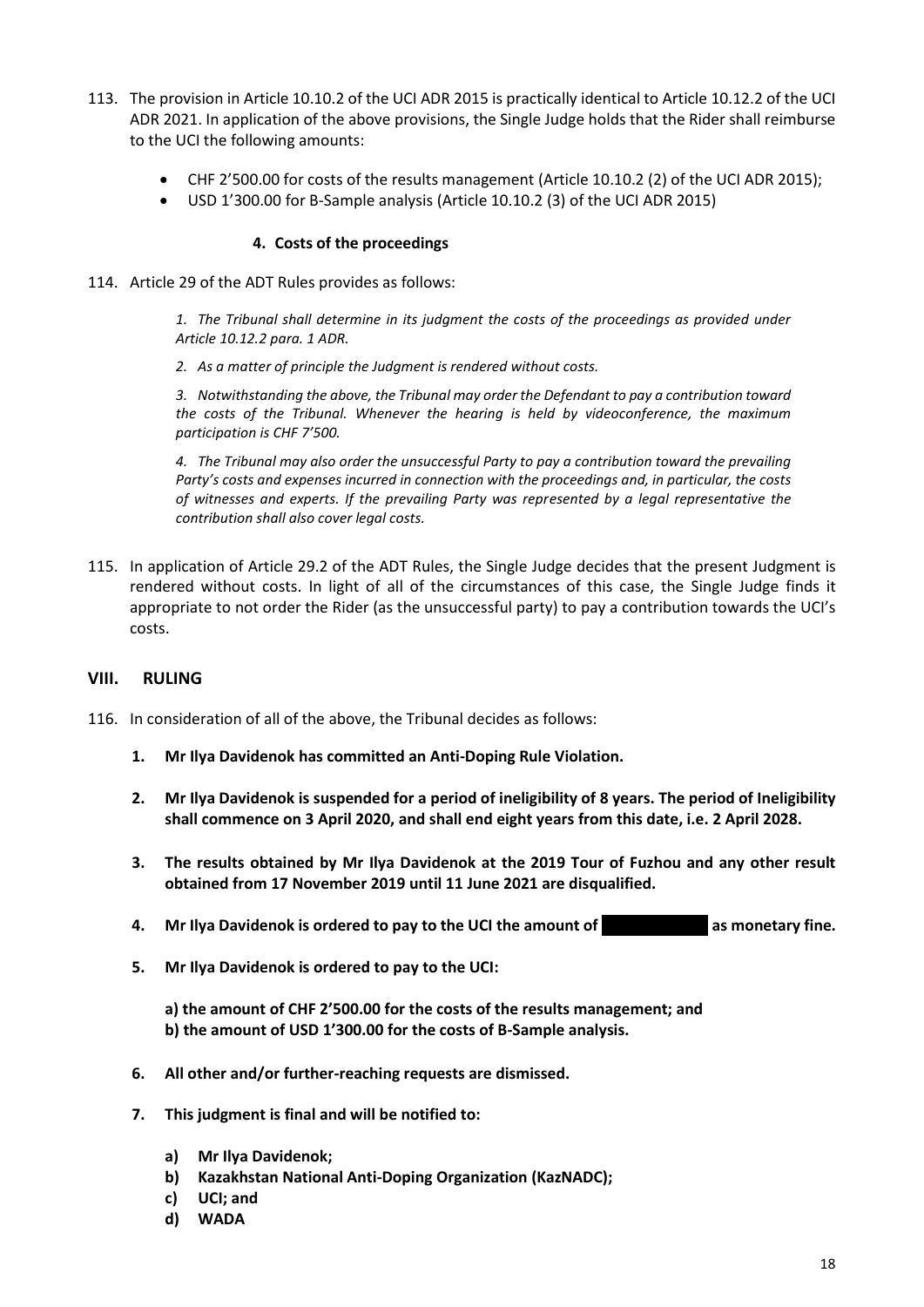- 113. The provision in Article 10.10.2 of the UCI ADR 2015 is practically identical to Article 10.12.2 of the UCI ADR 2021. In application of the above provisions, the Single Judge holds that the Rider shall reimburse to the UCI the following amounts:
	- CHF 2'500.00 for costs of the results management (Article 10.10.2 (2) of the UCI ADR 2015);
	- USD 1'300.00 for B-Sample analysis (Article 10.10.2 (3) of the UCI ADR 2015)

#### **4. Costs of the proceedings**

114. Article 29 of the ADT Rules provides as follows:

*1. The Tribunal shall determine in its judgment the costs of the proceedings as provided under Article 10.12.2 para. 1 ADR.*

*2. As a matter of principle the Judgment is rendered without costs.*

*3. Notwithstanding the above, the Tribunal may order the Defendant to pay a contribution toward the costs of the Tribunal. Whenever the hearing is held by videoconference, the maximum participation is CHF 7'500.*

*4. The Tribunal may also order the unsuccessful Party to pay a contribution toward the prevailing Party's costs and expenses incurred in connection with the proceedings and, in particular, the costs of witnesses and experts. If the prevailing Party was represented by a legal representative the contribution shall also cover legal costs.*

115. In application of Article 29.2 of the ADT Rules, the Single Judge decides that the present Judgment is rendered without costs. In light of all of the circumstances of this case, the Single Judge finds it appropriate to not order the Rider (as the unsuccessful party) to pay a contribution towards the UCI's costs.

#### **VIII. RULING**

- 116. In consideration of all of the above, the Tribunal decides as follows:
	- **1. Mr Ilya Davidenok has committed an Anti-Doping Rule Violation.**
	- **2. Mr Ilya Davidenok is suspended for a period of ineligibility of 8 years. The period of Ineligibility shall commence on 3 April 2020, and shall end eight years from this date, i.e. 2 April 2028.**
	- **3. The results obtained by Mr Ilya Davidenok at the 2019 Tour of Fuzhou and any other result obtained from 17 November 2019 until 11 June 2021 are disqualified.**
	- **4. Mr Ilya Davidenok is ordered to pay to the UCI the amount of …………………….. as monetary fine.**
	- **5. Mr Ilya Davidenok is ordered to pay to the UCI:**

**a) the amount of CHF 2'500.00 for the costs of the results management; and b) the amount of USD 1'300.00 for the costs of B-Sample analysis.**

- **6. All other and/or further-reaching requests are dismissed.**
- **7. This judgment is final and will be notified to:** 
	- **a) Mr Ilya Davidenok;**
	- **b) Kazakhstan National Anti-Doping Organization (KazNADC);**
	- **c) UCI; and**
	- **d) WADA**